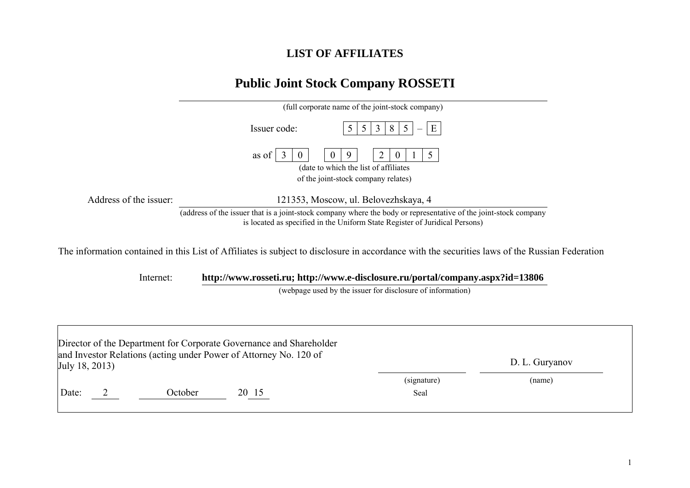## **LIST OF AFFILIATES**

## **Public Joint Stock Company ROSSETI**

|                        | (full corporate name of the joint-stock company)                                                                                                                                                |
|------------------------|-------------------------------------------------------------------------------------------------------------------------------------------------------------------------------------------------|
|                        | E<br>Issuer code:<br>3<br>8<br>$\mathcal{L}$<br>$\mathcal{D}$                                                                                                                                   |
|                        | as of<br>O<br>(date to which the list of affiliates)                                                                                                                                            |
|                        | of the joint-stock company relates)                                                                                                                                                             |
| Address of the issuer: | 121353, Moscow, ul. Belovezhskaya, 4                                                                                                                                                            |
|                        | (address of the issuer that is a joint-stock company where the body or representative of the joint-stock company<br>is located as specified in the Uniform State Register of Juridical Persons) |

Internet: **http://www.rosseti.ru; http://www.e-disclosure.ru/portal/company.aspx?id=13806**

(webpage used by the issuer for disclosure of information)

|                |         | Director of the Department for Corporate Governance and Shareholder |             |                |  |
|----------------|---------|---------------------------------------------------------------------|-------------|----------------|--|
| July 18, 2013) |         | and Investor Relations (acting under Power of Attorney No. 120 of   |             | D. L. Guryanov |  |
|                |         |                                                                     | (signature) | (name)         |  |
| Date:          | October | 20 15                                                               | Seal        |                |  |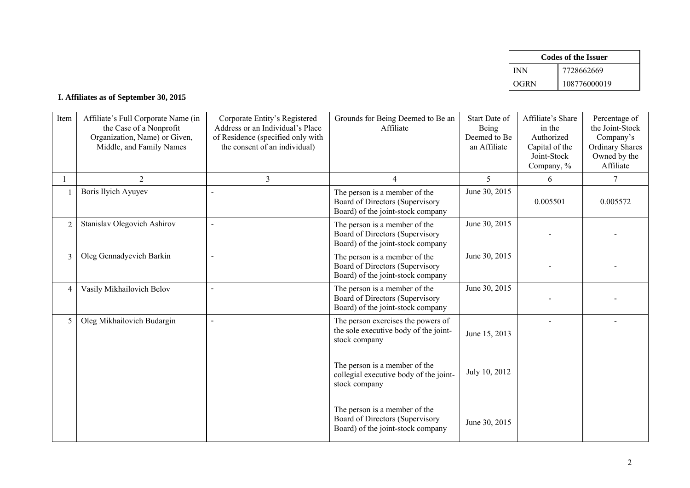|            | Codes of the Issuer |
|------------|---------------------|
| <b>INN</b> | 7728662669          |
| OGRN       | 108776000019        |

## **I. Affiliates as of September 30, 2015**

| Item           | Affiliate's Full Corporate Name (in<br>the Case of a Nonprofit<br>Organization, Name) or Given,<br>Middle, and Family Names | Corporate Entity's Registered<br>Address or an Individual's Place<br>of Residence (specified only with<br>the consent of an individual) | Grounds for Being Deemed to Be an<br>Affiliate                                                        | Start Date of<br>Being<br>Deemed to Be<br>an Affiliate | Affiliate's Share<br>in the<br>Authorized<br>Capital of the<br>Joint-Stock<br>Company, % | Percentage of<br>the Joint-Stock<br>Company's<br><b>Ordinary Shares</b><br>Owned by the<br>Affiliate |
|----------------|-----------------------------------------------------------------------------------------------------------------------------|-----------------------------------------------------------------------------------------------------------------------------------------|-------------------------------------------------------------------------------------------------------|--------------------------------------------------------|------------------------------------------------------------------------------------------|------------------------------------------------------------------------------------------------------|
|                | $\overline{2}$                                                                                                              | 3                                                                                                                                       | 4                                                                                                     | 5                                                      | 6                                                                                        | 7                                                                                                    |
|                | <b>Boris Ilyich Ayuyev</b>                                                                                                  |                                                                                                                                         | The person is a member of the<br>Board of Directors (Supervisory<br>Board) of the joint-stock company | June 30, 2015                                          | 0.005501                                                                                 | 0.005572                                                                                             |
| $\overline{2}$ | Stanislav Olegovich Ashirov                                                                                                 |                                                                                                                                         | The person is a member of the<br>Board of Directors (Supervisory<br>Board) of the joint-stock company | June 30, 2015                                          |                                                                                          |                                                                                                      |
| 3              | Oleg Gennadyevich Barkin                                                                                                    |                                                                                                                                         | The person is a member of the<br>Board of Directors (Supervisory<br>Board) of the joint-stock company | June 30, 2015                                          |                                                                                          |                                                                                                      |
| 4              | Vasily Mikhailovich Belov                                                                                                   |                                                                                                                                         | The person is a member of the<br>Board of Directors (Supervisory<br>Board) of the joint-stock company | June 30, 2015                                          |                                                                                          |                                                                                                      |
| 5              | Oleg Mikhailovich Budargin                                                                                                  |                                                                                                                                         | The person exercises the powers of<br>the sole executive body of the joint-<br>stock company          | June 15, 2013                                          |                                                                                          |                                                                                                      |
|                |                                                                                                                             |                                                                                                                                         | The person is a member of the<br>collegial executive body of the joint-<br>stock company              | July 10, 2012                                          |                                                                                          |                                                                                                      |
|                |                                                                                                                             |                                                                                                                                         | The person is a member of the<br>Board of Directors (Supervisory<br>Board) of the joint-stock company | June 30, 2015                                          |                                                                                          |                                                                                                      |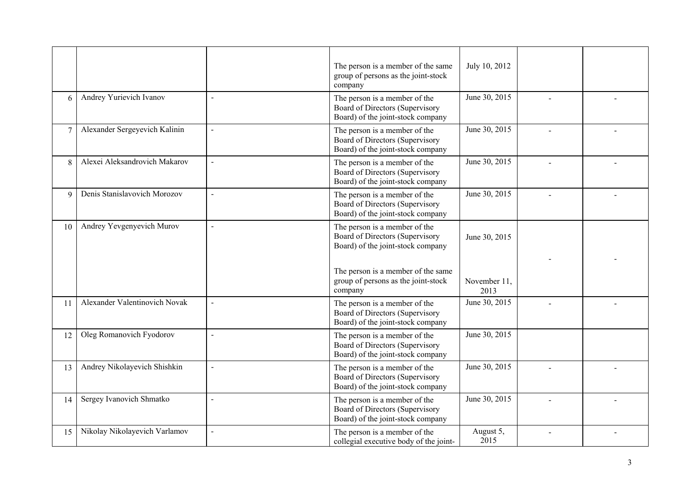|                 |                               |                          | The person is a member of the same<br>group of persons as the joint-stock<br>company                  | July 10, 2012        |  |
|-----------------|-------------------------------|--------------------------|-------------------------------------------------------------------------------------------------------|----------------------|--|
| 6               | Andrey Yurievich Ivanov       | $\overline{a}$           | The person is a member of the<br>Board of Directors (Supervisory<br>Board) of the joint-stock company | June 30, 2015        |  |
| $\overline{7}$  | Alexander Sergeyevich Kalinin | $\overline{a}$           | The person is a member of the<br>Board of Directors (Supervisory<br>Board) of the joint-stock company | June 30, 2015        |  |
| 8               | Alexei Aleksandrovich Makarov | $\sim$                   | The person is a member of the<br>Board of Directors (Supervisory<br>Board) of the joint-stock company | June 30, 2015        |  |
| 9               | Denis Stanislavovich Morozov  | $\sim$                   | The person is a member of the<br>Board of Directors (Supervisory<br>Board) of the joint-stock company | June 30, 2015        |  |
| 10 <sup>1</sup> | Andrey Yevgenyevich Murov     | $\blacksquare$           | The person is a member of the<br>Board of Directors (Supervisory<br>Board) of the joint-stock company | June 30, 2015        |  |
|                 |                               |                          | The person is a member of the same<br>group of persons as the joint-stock<br>company                  | November 11,<br>2013 |  |
| 11              | Alexander Valentinovich Novak | $\blacksquare$           | The person is a member of the<br>Board of Directors (Supervisory<br>Board) of the joint-stock company | June 30, 2015        |  |
| 12              | Oleg Romanovich Fyodorov      | $\sim$                   | The person is a member of the<br>Board of Directors (Supervisory<br>Board) of the joint-stock company | June 30, 2015        |  |
| 13              | Andrey Nikolayevich Shishkin  | $\sim$                   | The person is a member of the<br>Board of Directors (Supervisory<br>Board) of the joint-stock company | June 30, 2015        |  |
| 14              | Sergey Ivanovich Shmatko      | $\overline{\phantom{a}}$ | The person is a member of the<br>Board of Directors (Supervisory<br>Board) of the joint-stock company | June 30, 2015        |  |
| 15              | Nikolay Nikolayevich Varlamov | $\sim$                   | The person is a member of the<br>collegial executive body of the joint-                               | August 5,<br>2015    |  |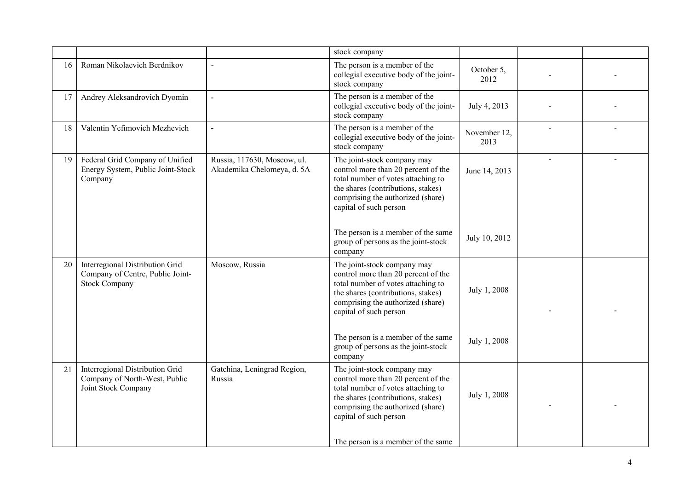|    |                                                                                             |                                                           | stock company                                                                                                                                                                                                 |                      |              |  |
|----|---------------------------------------------------------------------------------------------|-----------------------------------------------------------|---------------------------------------------------------------------------------------------------------------------------------------------------------------------------------------------------------------|----------------------|--------------|--|
| 16 | Roman Nikolaevich Berdnikov                                                                 | $\overline{a}$                                            | The person is a member of the<br>collegial executive body of the joint-<br>stock company                                                                                                                      | October 5,<br>2012   |              |  |
| 17 | Andrey Aleksandrovich Dyomin                                                                | $\sim$                                                    | The person is a member of the<br>collegial executive body of the joint-<br>stock company                                                                                                                      | July 4, 2013         |              |  |
| 18 | Valentin Yefimovich Mezhevich                                                               | $\overline{a}$                                            | The person is a member of the<br>collegial executive body of the joint-<br>stock company                                                                                                                      | November 12,<br>2013 |              |  |
| 19 | Federal Grid Company of Unified<br>Energy System, Public Joint-Stock<br>Company             | Russia, 117630, Moscow, ul.<br>Akademika Chelomeya, d. 5A | The joint-stock company may<br>control more than 20 percent of the<br>total number of votes attaching to<br>the shares (contributions, stakes)<br>comprising the authorized (share)<br>capital of such person | June 14, 2013        | $\mathbf{r}$ |  |
|    |                                                                                             |                                                           | The person is a member of the same<br>group of persons as the joint-stock<br>company                                                                                                                          | July 10, 2012        |              |  |
| 20 | Interregional Distribution Grid<br>Company of Centre, Public Joint-<br><b>Stock Company</b> | Moscow, Russia                                            | The joint-stock company may<br>control more than 20 percent of the<br>total number of votes attaching to<br>the shares (contributions, stakes)<br>comprising the authorized (share)<br>capital of such person | July 1, 2008         |              |  |
|    |                                                                                             |                                                           | The person is a member of the same<br>group of persons as the joint-stock<br>company                                                                                                                          | July 1, 2008         |              |  |
| 21 | Interregional Distribution Grid<br>Company of North-West, Public<br>Joint Stock Company     | Gatchina, Leningrad Region,<br>Russia                     | The joint-stock company may<br>control more than 20 percent of the<br>total number of votes attaching to<br>the shares (contributions, stakes)<br>comprising the authorized (share)<br>capital of such person | July 1, 2008         |              |  |
|    |                                                                                             |                                                           | The person is a member of the same                                                                                                                                                                            |                      |              |  |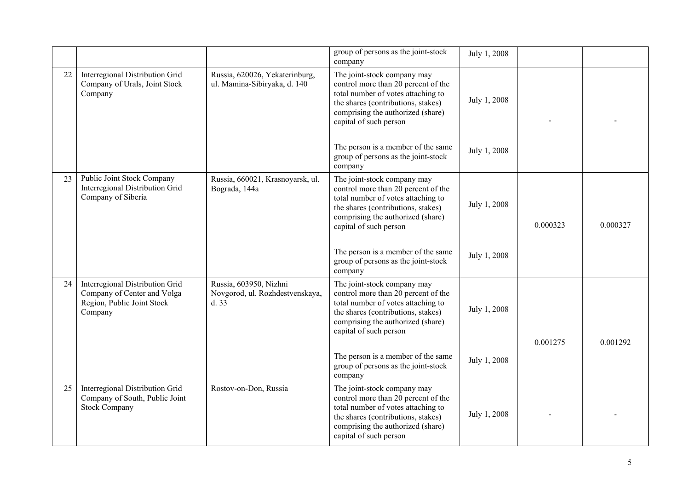|    |                                                                                                         |                                                                   | group of persons as the joint-stock<br>company                                                                                                                                                                | July 1, 2008 |          |          |
|----|---------------------------------------------------------------------------------------------------------|-------------------------------------------------------------------|---------------------------------------------------------------------------------------------------------------------------------------------------------------------------------------------------------------|--------------|----------|----------|
| 22 | Interregional Distribution Grid<br>Company of Urals, Joint Stock<br>Company                             | Russia, 620026, Yekaterinburg,<br>ul. Mamina-Sibiryaka, d. 140    | The joint-stock company may<br>control more than 20 percent of the<br>total number of votes attaching to<br>the shares (contributions, stakes)<br>comprising the authorized (share)<br>capital of such person | July 1, 2008 |          |          |
|    |                                                                                                         |                                                                   | The person is a member of the same<br>group of persons as the joint-stock<br>company                                                                                                                          | July 1, 2008 |          |          |
| 23 | Public Joint Stock Company<br>Interregional Distribution Grid<br>Company of Siberia                     | Russia, 660021, Krasnoyarsk, ul.<br>Bograda, 144a                 | The joint-stock company may<br>control more than 20 percent of the<br>total number of votes attaching to<br>the shares (contributions, stakes)<br>comprising the authorized (share)<br>capital of such person | July 1, 2008 | 0.000323 | 0.000327 |
|    |                                                                                                         |                                                                   | The person is a member of the same<br>group of persons as the joint-stock<br>company                                                                                                                          | July 1, 2008 |          |          |
| 24 | Interregional Distribution Grid<br>Company of Center and Volga<br>Region, Public Joint Stock<br>Company | Russia, 603950, Nizhni<br>Novgorod, ul. Rozhdestvenskaya,<br>d.33 | The joint-stock company may<br>control more than 20 percent of the<br>total number of votes attaching to<br>the shares (contributions, stakes)<br>comprising the authorized (share)<br>capital of such person | July 1, 2008 | 0.001275 | 0.001292 |
|    |                                                                                                         |                                                                   | The person is a member of the same<br>group of persons as the joint-stock<br>company                                                                                                                          | July 1, 2008 |          |          |
| 25 | Interregional Distribution Grid<br>Company of South, Public Joint<br><b>Stock Company</b>               | Rostov-on-Don, Russia                                             | The joint-stock company may<br>control more than 20 percent of the<br>total number of votes attaching to<br>the shares (contributions, stakes)<br>comprising the authorized (share)<br>capital of such person | July 1, 2008 |          |          |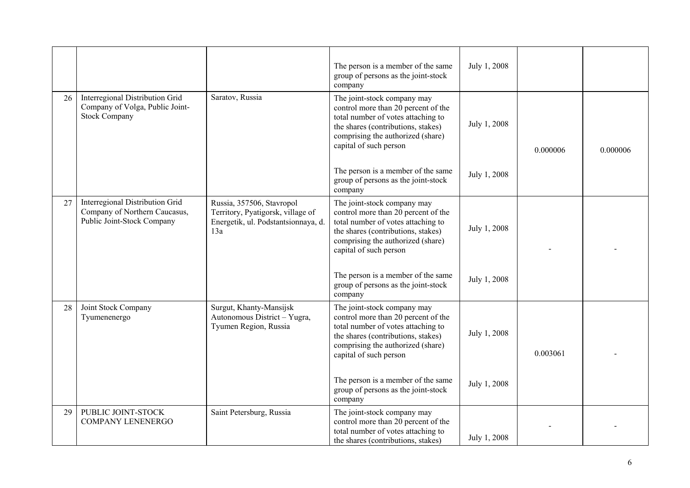|    |                                                                                                |                                                                                                              | The person is a member of the same<br>group of persons as the joint-stock<br>company                                                                                                                          | July 1, 2008 |          |          |
|----|------------------------------------------------------------------------------------------------|--------------------------------------------------------------------------------------------------------------|---------------------------------------------------------------------------------------------------------------------------------------------------------------------------------------------------------------|--------------|----------|----------|
| 26 | Interregional Distribution Grid<br>Company of Volga, Public Joint-<br><b>Stock Company</b>     | Saratov, Russia                                                                                              | The joint-stock company may<br>control more than 20 percent of the<br>total number of votes attaching to<br>the shares (contributions, stakes)<br>comprising the authorized (share)<br>capital of such person | July 1, 2008 | 0.000006 | 0.000006 |
|    |                                                                                                |                                                                                                              | The person is a member of the same<br>group of persons as the joint-stock<br>company                                                                                                                          | July 1, 2008 |          |          |
| 27 | Interregional Distribution Grid<br>Company of Northern Caucasus,<br>Public Joint-Stock Company | Russia, 357506, Stavropol<br>Territory, Pyatigorsk, village of<br>Energetik, ul. Podstantsionnaya, d.<br>13a | The joint-stock company may<br>control more than 20 percent of the<br>total number of votes attaching to<br>the shares (contributions, stakes)<br>comprising the authorized (share)<br>capital of such person | July 1, 2008 |          |          |
|    |                                                                                                |                                                                                                              | The person is a member of the same<br>group of persons as the joint-stock<br>company                                                                                                                          | July 1, 2008 |          |          |
| 28 | Joint Stock Company<br>Tyumenenergo                                                            | Surgut, Khanty-Mansijsk<br>Autonomous District - Yugra,<br>Tyumen Region, Russia                             | The joint-stock company may<br>control more than 20 percent of the<br>total number of votes attaching to<br>the shares (contributions, stakes)<br>comprising the authorized (share)<br>capital of such person | July 1, 2008 | 0.003061 |          |
|    |                                                                                                |                                                                                                              | The person is a member of the same<br>group of persons as the joint-stock<br>company                                                                                                                          | July 1, 2008 |          |          |
| 29 | PUBLIC JOINT-STOCK<br><b>COMPANY LENENERGO</b>                                                 | Saint Petersburg, Russia                                                                                     | The joint-stock company may<br>control more than 20 percent of the<br>total number of votes attaching to<br>the shares (contributions, stakes)                                                                | July 1, 2008 |          |          |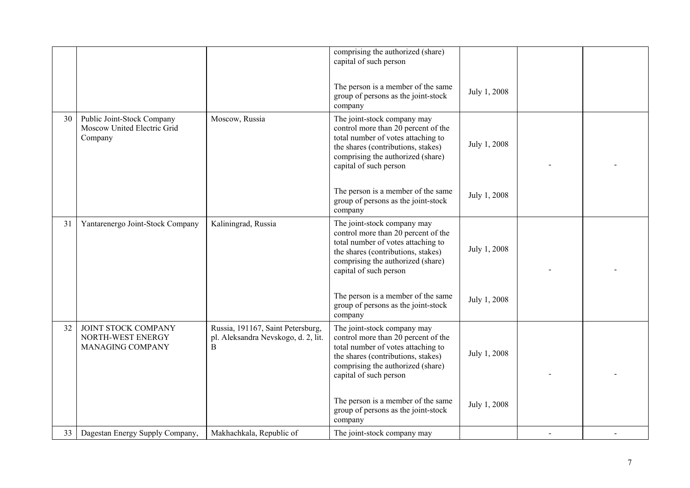|    |                                                                      |                                                                               | comprising the authorized (share)<br>capital of such person                                                                                                                                                   |              |  |
|----|----------------------------------------------------------------------|-------------------------------------------------------------------------------|---------------------------------------------------------------------------------------------------------------------------------------------------------------------------------------------------------------|--------------|--|
|    |                                                                      |                                                                               | The person is a member of the same<br>group of persons as the joint-stock<br>company                                                                                                                          | July 1, 2008 |  |
| 30 | Public Joint-Stock Company<br>Moscow United Electric Grid<br>Company | Moscow, Russia                                                                | The joint-stock company may<br>control more than 20 percent of the<br>total number of votes attaching to<br>the shares (contributions, stakes)<br>comprising the authorized (share)<br>capital of such person | July 1, 2008 |  |
|    |                                                                      |                                                                               | The person is a member of the same<br>group of persons as the joint-stock<br>company                                                                                                                          | July 1, 2008 |  |
| 31 | Yantarenergo Joint-Stock Company                                     | Kaliningrad, Russia                                                           | The joint-stock company may<br>control more than 20 percent of the<br>total number of votes attaching to<br>the shares (contributions, stakes)<br>comprising the authorized (share)<br>capital of such person | July 1, 2008 |  |
|    |                                                                      |                                                                               | The person is a member of the same<br>group of persons as the joint-stock<br>company                                                                                                                          | July 1, 2008 |  |
| 32 | JOINT STOCK COMPANY<br>NORTH-WEST ENERGY<br>MANAGING COMPANY         | Russia, 191167, Saint Petersburg,<br>pl. Aleksandra Nevskogo, d. 2, lit.<br>B | The joint-stock company may<br>control more than 20 percent of the<br>total number of votes attaching to<br>the shares (contributions, stakes)<br>comprising the authorized (share)<br>capital of such person | July 1, 2008 |  |
|    |                                                                      |                                                                               | The person is a member of the same<br>group of persons as the joint-stock<br>company                                                                                                                          | July 1, 2008 |  |
| 33 | Dagestan Energy Supply Company,                                      | Makhachkala, Republic of                                                      | The joint-stock company may                                                                                                                                                                                   |              |  |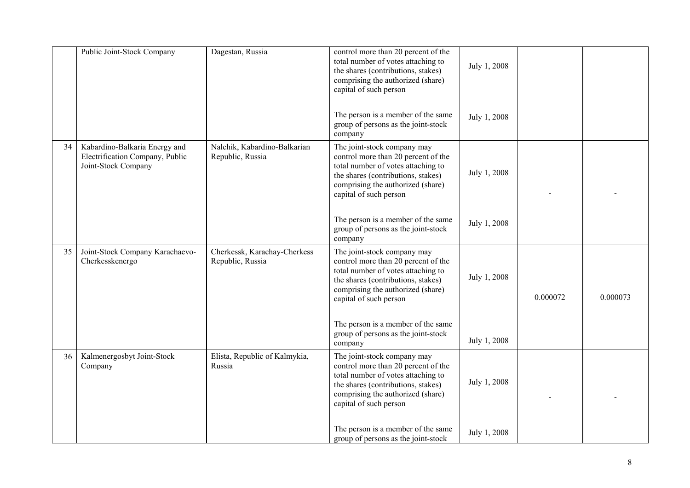|    | Public Joint-Stock Company                                                              | Dagestan, Russia                                 | control more than 20 percent of the<br>total number of votes attaching to<br>the shares (contributions, stakes)<br>comprising the authorized (share)<br>capital of such person                                | July 1, 2008 |          |          |
|----|-----------------------------------------------------------------------------------------|--------------------------------------------------|---------------------------------------------------------------------------------------------------------------------------------------------------------------------------------------------------------------|--------------|----------|----------|
|    |                                                                                         |                                                  | The person is a member of the same<br>group of persons as the joint-stock<br>company                                                                                                                          | July 1, 2008 |          |          |
| 34 | Kabardino-Balkaria Energy and<br>Electrification Company, Public<br>Joint-Stock Company | Nalchik, Kabardino-Balkarian<br>Republic, Russia | The joint-stock company may<br>control more than 20 percent of the<br>total number of votes attaching to<br>the shares (contributions, stakes)<br>comprising the authorized (share)<br>capital of such person | July 1, 2008 |          |          |
|    |                                                                                         |                                                  | The person is a member of the same<br>group of persons as the joint-stock<br>company                                                                                                                          | July 1, 2008 |          |          |
| 35 | Joint-Stock Company Karachaevo-<br>Cherkesskenergo                                      | Cherkessk, Karachay-Cherkess<br>Republic, Russia | The joint-stock company may<br>control more than 20 percent of the<br>total number of votes attaching to<br>the shares (contributions, stakes)<br>comprising the authorized (share)<br>capital of such person | July 1, 2008 | 0.000072 | 0.000073 |
|    |                                                                                         |                                                  | The person is a member of the same<br>group of persons as the joint-stock<br>company                                                                                                                          | July 1, 2008 |          |          |
| 36 | Kalmenergosbyt Joint-Stock<br>Company                                                   | Elista, Republic of Kalmykia,<br>Russia          | The joint-stock company may<br>control more than 20 percent of the<br>total number of votes attaching to<br>the shares (contributions, stakes)<br>comprising the authorized (share)<br>capital of such person | July 1, 2008 |          |          |
|    |                                                                                         |                                                  | The person is a member of the same<br>group of persons as the joint-stock                                                                                                                                     | July 1, 2008 |          |          |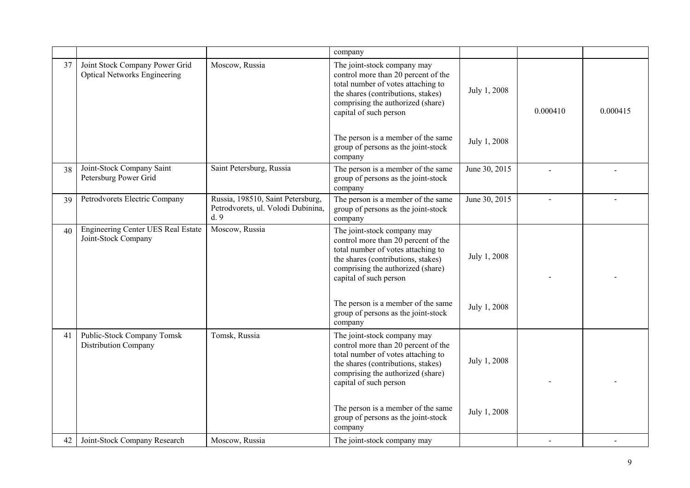|    |                                                                       |                                                                                | company                                                                                                                                                                                                                                             |                              |          |          |
|----|-----------------------------------------------------------------------|--------------------------------------------------------------------------------|-----------------------------------------------------------------------------------------------------------------------------------------------------------------------------------------------------------------------------------------------------|------------------------------|----------|----------|
| 37 | Joint Stock Company Power Grid<br><b>Optical Networks Engineering</b> | Moscow, Russia                                                                 | The joint-stock company may<br>control more than 20 percent of the<br>total number of votes attaching to<br>the shares (contributions, stakes)<br>comprising the authorized (share)<br>capital of such person<br>The person is a member of the same | July 1, 2008<br>July 1, 2008 | 0.000410 | 0.000415 |
|    |                                                                       |                                                                                | group of persons as the joint-stock<br>company                                                                                                                                                                                                      |                              |          |          |
| 38 | Joint-Stock Company Saint<br>Petersburg Power Grid                    | Saint Petersburg, Russia                                                       | The person is a member of the same<br>group of persons as the joint-stock<br>company                                                                                                                                                                | June 30, 2015                |          |          |
| 39 | Petrodvorets Electric Company                                         | Russia, 198510, Saint Petersburg,<br>Petrodvorets, ul. Volodi Dubinina,<br>d.9 | The person is a member of the same<br>group of persons as the joint-stock<br>company                                                                                                                                                                | June 30, 2015                |          |          |
| 40 | Engineering Center UES Real Estate<br>Joint-Stock Company             | Moscow, Russia                                                                 | The joint-stock company may<br>control more than 20 percent of the<br>total number of votes attaching to<br>the shares (contributions, stakes)<br>comprising the authorized (share)<br>capital of such person                                       | July 1, 2008                 |          |          |
|    |                                                                       |                                                                                | The person is a member of the same<br>group of persons as the joint-stock<br>company                                                                                                                                                                | July 1, 2008                 |          |          |
| 41 | Public-Stock Company Tomsk<br>Distribution Company                    | Tomsk, Russia                                                                  | The joint-stock company may<br>control more than 20 percent of the<br>total number of votes attaching to<br>the shares (contributions, stakes)<br>comprising the authorized (share)<br>capital of such person                                       | July 1, 2008                 |          |          |
|    |                                                                       |                                                                                | The person is a member of the same<br>group of persons as the joint-stock<br>company                                                                                                                                                                | July 1, 2008                 |          |          |
| 42 | Joint-Stock Company Research                                          | Moscow, Russia                                                                 | The joint-stock company may                                                                                                                                                                                                                         |                              |          |          |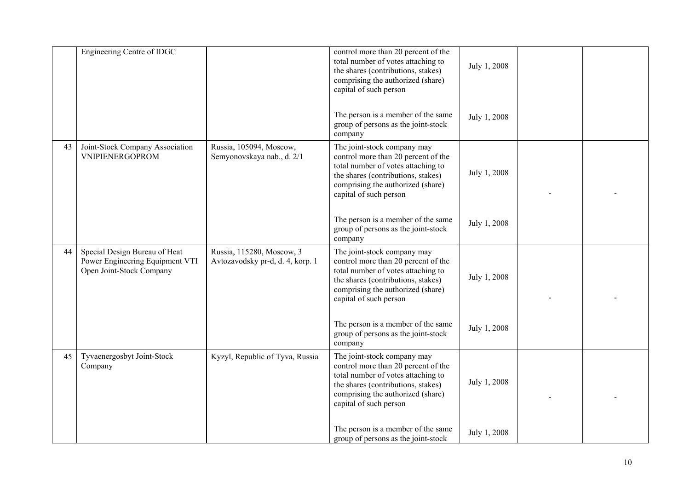|    | Engineering Centre of IDGC                                                                   |                                                               | control more than 20 percent of the<br>total number of votes attaching to<br>the shares (contributions, stakes)<br>comprising the authorized (share)<br>capital of such person<br>The person is a member of the same | July 1, 2008<br>July 1, 2008 |  |
|----|----------------------------------------------------------------------------------------------|---------------------------------------------------------------|----------------------------------------------------------------------------------------------------------------------------------------------------------------------------------------------------------------------|------------------------------|--|
|    |                                                                                              |                                                               | group of persons as the joint-stock<br>company                                                                                                                                                                       |                              |  |
| 43 | Joint-Stock Company Association<br><b>VNIPIENERGOPROM</b>                                    | Russia, 105094, Moscow,<br>Semyonovskaya nab., d. 2/1         | The joint-stock company may<br>control more than 20 percent of the<br>total number of votes attaching to<br>the shares (contributions, stakes)<br>comprising the authorized (share)<br>capital of such person        | July 1, 2008                 |  |
|    |                                                                                              |                                                               | The person is a member of the same<br>group of persons as the joint-stock<br>company                                                                                                                                 | July 1, 2008                 |  |
| 44 | Special Design Bureau of Heat<br>Power Engineering Equipment VTI<br>Open Joint-Stock Company | Russia, 115280, Moscow, 3<br>Avtozavodsky pr-d, d. 4, korp. 1 | The joint-stock company may<br>control more than 20 percent of the<br>total number of votes attaching to<br>the shares (contributions, stakes)<br>comprising the authorized (share)<br>capital of such person        | July 1, 2008                 |  |
|    |                                                                                              |                                                               | The person is a member of the same<br>group of persons as the joint-stock<br>company                                                                                                                                 | July 1, 2008                 |  |
| 45 | Tyvaenergosbyt Joint-Stock<br>Company                                                        | Kyzyl, Republic of Tyva, Russia                               | The joint-stock company may<br>control more than 20 percent of the<br>total number of votes attaching to<br>the shares (contributions, stakes)<br>comprising the authorized (share)<br>capital of such person        | July 1, 2008                 |  |
|    |                                                                                              |                                                               | The person is a member of the same<br>group of persons as the joint-stock                                                                                                                                            | July 1, 2008                 |  |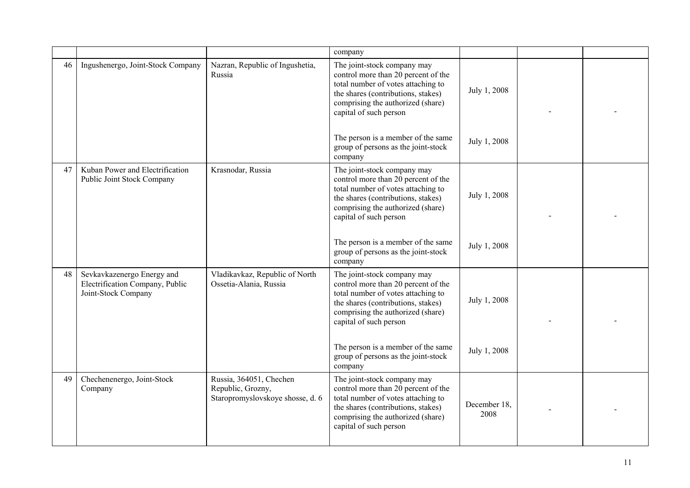|    |                                                                                      |                                                                                  | company                                                                                                                                                                                                                                             |                              |  |
|----|--------------------------------------------------------------------------------------|----------------------------------------------------------------------------------|-----------------------------------------------------------------------------------------------------------------------------------------------------------------------------------------------------------------------------------------------------|------------------------------|--|
| 46 | Ingushenergo, Joint-Stock Company                                                    | Nazran, Republic of Ingushetia,<br>Russia                                        | The joint-stock company may<br>control more than 20 percent of the<br>total number of votes attaching to<br>the shares (contributions, stakes)<br>comprising the authorized (share)<br>capital of such person<br>The person is a member of the same | July 1, 2008<br>July 1, 2008 |  |
|    |                                                                                      |                                                                                  | group of persons as the joint-stock<br>company                                                                                                                                                                                                      |                              |  |
| 47 | Kuban Power and Electrification<br>Public Joint Stock Company                        | Krasnodar, Russia                                                                | The joint-stock company may<br>control more than 20 percent of the<br>total number of votes attaching to<br>the shares (contributions, stakes)<br>comprising the authorized (share)<br>capital of such person                                       | July 1, 2008                 |  |
|    |                                                                                      |                                                                                  | The person is a member of the same<br>group of persons as the joint-stock<br>company                                                                                                                                                                | July 1, 2008                 |  |
| 48 | Sevkavkazenergo Energy and<br>Electrification Company, Public<br>Joint-Stock Company | Vladikavkaz, Republic of North<br>Ossetia-Alania, Russia                         | The joint-stock company may<br>control more than 20 percent of the<br>total number of votes attaching to<br>the shares (contributions, stakes)<br>comprising the authorized (share)<br>capital of such person                                       | July 1, 2008                 |  |
|    |                                                                                      |                                                                                  | The person is a member of the same<br>group of persons as the joint-stock<br>company                                                                                                                                                                | July 1, 2008                 |  |
| 49 | Chechenenergo, Joint-Stock<br>Company                                                | Russia, 364051, Chechen<br>Republic, Grozny,<br>Staropromyslovskoye shosse, d. 6 | The joint-stock company may<br>control more than 20 percent of the<br>total number of votes attaching to<br>the shares (contributions, stakes)<br>comprising the authorized (share)<br>capital of such person                                       | December 18.<br>2008         |  |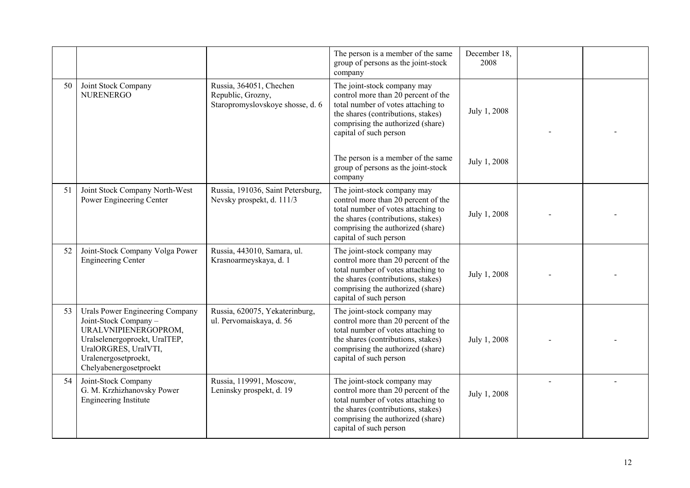|    |                                                                                                                                                                                             |                                                                                  | The person is a member of the same<br>group of persons as the joint-stock<br>company                                                                                                                          | December 18,<br>2008 |  |
|----|---------------------------------------------------------------------------------------------------------------------------------------------------------------------------------------------|----------------------------------------------------------------------------------|---------------------------------------------------------------------------------------------------------------------------------------------------------------------------------------------------------------|----------------------|--|
| 50 | Joint Stock Company<br><b>NURENERGO</b>                                                                                                                                                     | Russia, 364051, Chechen<br>Republic, Grozny,<br>Staropromyslovskoye shosse, d. 6 | The joint-stock company may<br>control more than 20 percent of the<br>total number of votes attaching to<br>the shares (contributions, stakes)<br>comprising the authorized (share)<br>capital of such person | July 1, 2008         |  |
|    |                                                                                                                                                                                             |                                                                                  | The person is a member of the same<br>group of persons as the joint-stock<br>company                                                                                                                          | July 1, 2008         |  |
| 51 | Joint Stock Company North-West<br>Power Engineering Center                                                                                                                                  | Russia, 191036, Saint Petersburg,<br>Nevsky prospekt, d. 111/3                   | The joint-stock company may<br>control more than 20 percent of the<br>total number of votes attaching to<br>the shares (contributions, stakes)<br>comprising the authorized (share)<br>capital of such person | July 1, 2008         |  |
| 52 | Joint-Stock Company Volga Power<br><b>Engineering Center</b>                                                                                                                                | Russia, 443010, Samara, ul.<br>Krasnoarmeyskaya, d. 1                            | The joint-stock company may<br>control more than 20 percent of the<br>total number of votes attaching to<br>the shares (contributions, stakes)<br>comprising the authorized (share)<br>capital of such person | July 1, 2008         |  |
| 53 | Urals Power Engineering Company<br>Joint-Stock Company -<br>URALVNIPIENERGOPROM,<br>Uralselenergoproekt, UralTEP,<br>UralORGRES, UralVTI,<br>Uralenergosetproekt,<br>Chelyabenergosetproekt | Russia, 620075, Yekaterinburg,<br>ul. Pervomaiskaya, d. 56                       | The joint-stock company may<br>control more than 20 percent of the<br>total number of votes attaching to<br>the shares (contributions, stakes)<br>comprising the authorized (share)<br>capital of such person | July 1, 2008         |  |
| 54 | Joint-Stock Company<br>G. M. Krzhizhanovsky Power<br>Engineering Institute                                                                                                                  | Russia, 119991, Moscow,<br>Leninsky prospekt, d. 19                              | The joint-stock company may<br>control more than 20 percent of the<br>total number of votes attaching to<br>the shares (contributions, stakes)<br>comprising the authorized (share)<br>capital of such person | July 1, 2008         |  |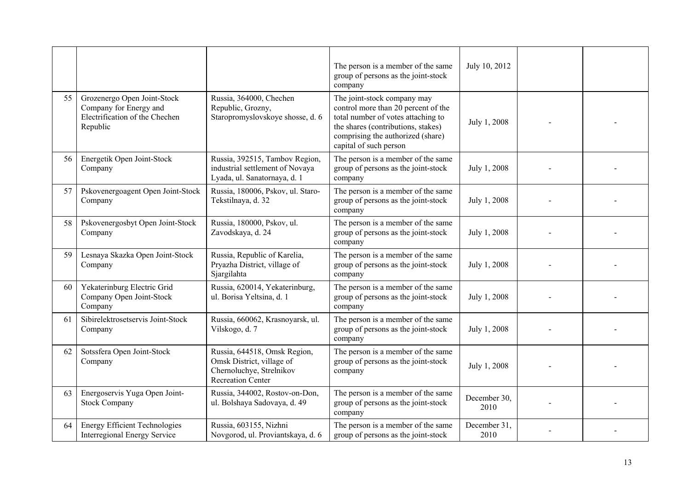|    |                                                                                                     |                                                                                                                   | The person is a member of the same<br>group of persons as the joint-stock<br>company                                                                                                                          | July 10, 2012        |  |
|----|-----------------------------------------------------------------------------------------------------|-------------------------------------------------------------------------------------------------------------------|---------------------------------------------------------------------------------------------------------------------------------------------------------------------------------------------------------------|----------------------|--|
| 55 | Grozenergo Open Joint-Stock<br>Company for Energy and<br>Electrification of the Chechen<br>Republic | Russia, 364000, Chechen<br>Republic, Grozny,<br>Staropromyslovskoye shosse, d. 6                                  | The joint-stock company may<br>control more than 20 percent of the<br>total number of votes attaching to<br>the shares (contributions, stakes)<br>comprising the authorized (share)<br>capital of such person | July 1, 2008         |  |
| 56 | Energetik Open Joint-Stock<br>Company                                                               | Russia, 392515, Tambov Region,<br>industrial settlement of Novaya<br>Lyada, ul. Sanatornaya, d. 1                 | The person is a member of the same<br>group of persons as the joint-stock<br>company                                                                                                                          | July 1, 2008         |  |
| 57 | Pskovenergoagent Open Joint-Stock<br>Company                                                        | Russia, 180006, Pskov, ul. Staro-<br>Tekstilnaya, d. 32                                                           | The person is a member of the same<br>group of persons as the joint-stock<br>company                                                                                                                          | July 1, 2008         |  |
| 58 | Pskovenergosbyt Open Joint-Stock<br>Company                                                         | Russia, 180000, Pskov, ul.<br>Zavodskaya, d. 24                                                                   | The person is a member of the same<br>group of persons as the joint-stock<br>company                                                                                                                          | July 1, 2008         |  |
| 59 | Lesnaya Skazka Open Joint-Stock<br>Company                                                          | Russia, Republic of Karelia,<br>Pryazha District, village of<br>Sjargilahta                                       | The person is a member of the same<br>group of persons as the joint-stock<br>company                                                                                                                          | July 1, 2008         |  |
| 60 | Yekaterinburg Electric Grid<br>Company Open Joint-Stock<br>Company                                  | Russia, 620014, Yekaterinburg,<br>ul. Borisa Yeltsina, d. 1                                                       | The person is a member of the same<br>group of persons as the joint-stock<br>company                                                                                                                          | July 1, 2008         |  |
| 61 | Sibirelektrosetservis Joint-Stock<br>Company                                                        | Russia, 660062, Krasnoyarsk, ul.<br>Vilskogo, d. 7                                                                | The person is a member of the same<br>group of persons as the joint-stock<br>company                                                                                                                          | July 1, 2008         |  |
| 62 | Sotssfera Open Joint-Stock<br>Company                                                               | Russia, 644518, Omsk Region,<br>Omsk District, village of<br>Chernoluchye, Strelnikov<br><b>Recreation Center</b> | The person is a member of the same<br>group of persons as the joint-stock<br>company                                                                                                                          | July 1, 2008         |  |
| 63 | Energoservis Yuga Open Joint-<br><b>Stock Company</b>                                               | Russia, 344002, Rostov-on-Don,<br>ul. Bolshaya Sadovaya, d. 49                                                    | The person is a member of the same<br>group of persons as the joint-stock<br>company                                                                                                                          | December 30,<br>2010 |  |
| 64 | <b>Energy Efficient Technologies</b><br>Interregional Energy Service                                | Russia, 603155, Nizhni<br>Novgorod, ul. Proviantskaya, d. 6                                                       | The person is a member of the same<br>group of persons as the joint-stock                                                                                                                                     | December 31,<br>2010 |  |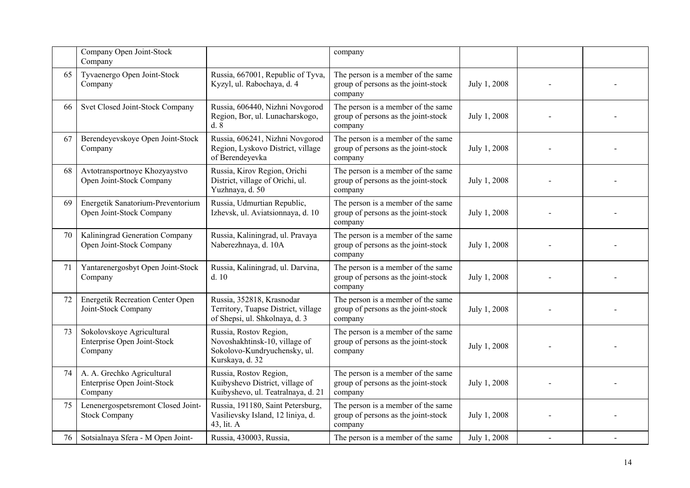|    | Company Open Joint-Stock<br>Company                                  |                                                                                                            | company                                                                              |              |  |
|----|----------------------------------------------------------------------|------------------------------------------------------------------------------------------------------------|--------------------------------------------------------------------------------------|--------------|--|
| 65 | Tyvaenergo Open Joint-Stock<br>Company                               | Russia, 667001, Republic of Tyva,<br>Kyzyl, ul. Rabochaya, d. 4                                            | The person is a member of the same<br>group of persons as the joint-stock<br>company | July 1, 2008 |  |
| 66 | Svet Closed Joint-Stock Company                                      | Russia, 606440, Nizhni Novgorod<br>Region, Bor, ul. Lunacharskogo,<br>d.8                                  | The person is a member of the same<br>group of persons as the joint-stock<br>company | July 1, 2008 |  |
| 67 | Berendeyevskoye Open Joint-Stock<br>Company                          | Russia, 606241, Nizhni Novgorod<br>Region, Lyskovo District, village<br>of Berendeyevka                    | The person is a member of the same<br>group of persons as the joint-stock<br>company | July 1, 2008 |  |
| 68 | Avtotransportnoye Khozyaystvo<br>Open Joint-Stock Company            | Russia, Kirov Region, Orichi<br>District, village of Orichi, ul.<br>Yuzhnaya, d. 50                        | The person is a member of the same<br>group of persons as the joint-stock<br>company | July 1, 2008 |  |
| 69 | Energetik Sanatorium-Preventorium<br>Open Joint-Stock Company        | Russia, Udmurtian Republic,<br>Izhevsk, ul. Aviatsionnaya, d. 10                                           | The person is a member of the same<br>group of persons as the joint-stock<br>company | July 1, 2008 |  |
| 70 | Kaliningrad Generation Company<br>Open Joint-Stock Company           | Russia, Kaliningrad, ul. Pravaya<br>Naberezhnaya, d. 10A                                                   | The person is a member of the same<br>group of persons as the joint-stock<br>company | July 1, 2008 |  |
| 71 | Yantarenergosbyt Open Joint-Stock<br>Company                         | Russia, Kaliningrad, ul. Darvina,<br>d.10                                                                  | The person is a member of the same<br>group of persons as the joint-stock<br>company | July 1, 2008 |  |
| 72 | <b>Energetik Recreation Center Open</b><br>Joint-Stock Company       | Russia, 352818, Krasnodar<br>Territory, Tuapse District, village<br>of Shepsi, ul. Shkolnaya, d. 3         | The person is a member of the same<br>group of persons as the joint-stock<br>company | July 1, 2008 |  |
| 73 | Sokolovskoye Agricultural<br>Enterprise Open Joint-Stock<br>Company  | Russia, Rostov Region,<br>Novoshakhtinsk-10, village of<br>Sokolovo-Kundryuchensky, ul.<br>Kurskaya, d. 32 | The person is a member of the same<br>group of persons as the joint-stock<br>company | July 1, 2008 |  |
| 74 | A. A. Grechko Agricultural<br>Enterprise Open Joint-Stock<br>Company | Russia, Rostov Region,<br>Kuibyshevo District, village of<br>Kuibyshevo, ul. Teatralnaya, d. 21            | The person is a member of the same<br>group of persons as the joint-stock<br>company | July 1, 2008 |  |
| 75 | Lenenergospetsremont Closed Joint-<br><b>Stock Company</b>           | Russia, 191180, Saint Petersburg,<br>Vasilievsky Island, 12 liniya, d.<br>43, lit. A                       | The person is a member of the same<br>group of persons as the joint-stock<br>company | July 1, 2008 |  |
| 76 | Sotsialnaya Sfera - M Open Joint-                                    | Russia, 430003, Russia,                                                                                    | The person is a member of the same                                                   | July 1, 2008 |  |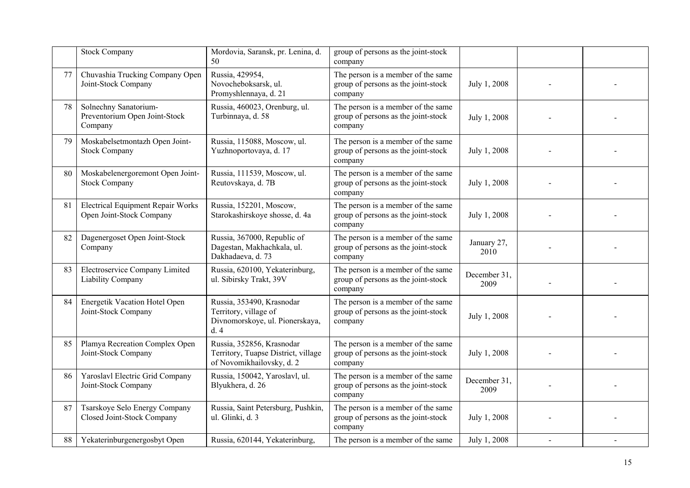|    | <b>Stock Company</b>                                                 | Mordovia, Saransk, pr. Lenina, d.<br>50                                                       | group of persons as the joint-stock<br>company                                       |                      |  |
|----|----------------------------------------------------------------------|-----------------------------------------------------------------------------------------------|--------------------------------------------------------------------------------------|----------------------|--|
| 77 | Chuvashia Trucking Company Open<br>Joint-Stock Company               | Russia, 429954,<br>Novocheboksarsk, ul.<br>Promyshlennaya, d. 21                              | The person is a member of the same<br>group of persons as the joint-stock<br>company | July 1, 2008         |  |
| 78 | Solnechny Sanatorium-<br>Preventorium Open Joint-Stock<br>Company    | Russia, 460023, Orenburg, ul.<br>Turbinnaya, d. 58                                            | The person is a member of the same<br>group of persons as the joint-stock<br>company | July 1, 2008         |  |
| 79 | Moskabelsetmontazh Open Joint-<br><b>Stock Company</b>               | Russia, 115088, Moscow, ul.<br>Yuzhnoportovaya, d. 17                                         | The person is a member of the same<br>group of persons as the joint-stock<br>company | July 1, 2008         |  |
| 80 | Moskabelenergoremont Open Joint-<br><b>Stock Company</b>             | Russia, 111539, Moscow, ul.<br>Reutovskaya, d. 7B                                             | The person is a member of the same<br>group of persons as the joint-stock<br>company | July 1, 2008         |  |
| 81 | <b>Electrical Equipment Repair Works</b><br>Open Joint-Stock Company | Russia, 152201, Moscow,<br>Starokashirskoye shosse, d. 4a                                     | The person is a member of the same<br>group of persons as the joint-stock<br>company | July 1, 2008         |  |
| 82 | Dagenergoset Open Joint-Stock<br>Company                             | Russia, 367000, Republic of<br>Dagestan, Makhachkala, ul.<br>Dakhadaeva, d. 73                | The person is a member of the same<br>group of persons as the joint-stock<br>company | January 27,<br>2010  |  |
| 83 | Electroservice Company Limited<br>Liability Company                  | Russia, 620100, Yekaterinburg,<br>ul. Sibirsky Trakt, 39V                                     | The person is a member of the same<br>group of persons as the joint-stock<br>company | December 31,<br>2009 |  |
| 84 | Energetik Vacation Hotel Open<br>Joint-Stock Company                 | Russia, 353490, Krasnodar<br>Territory, village of<br>Divnomorskoye, ul. Pionerskaya,<br>d.4  | The person is a member of the same<br>group of persons as the joint-stock<br>company | July 1, 2008         |  |
| 85 | Plamya Recreation Complex Open<br>Joint-Stock Company                | Russia, 352856, Krasnodar<br>Territory, Tuapse District, village<br>of Novomikhailovsky, d. 2 | The person is a member of the same<br>group of persons as the joint-stock<br>company | July 1, 2008         |  |
| 86 | Yaroslavl Electric Grid Company<br>Joint-Stock Company               | Russia, 150042, Yaroslavl, ul.<br>Blyukhera, d. 26                                            | The person is a member of the same<br>group of persons as the joint-stock<br>company | December 31,<br>2009 |  |
| 87 | Tsarskoye Selo Energy Company<br>Closed Joint-Stock Company          | Russia, Saint Petersburg, Pushkin,<br>ul. Glinki, d. 3                                        | The person is a member of the same<br>group of persons as the joint-stock<br>company | July 1, 2008         |  |
| 88 | Yekaterinburgenergosbyt Open                                         | Russia, 620144, Yekaterinburg,                                                                | The person is a member of the same                                                   | July 1, 2008         |  |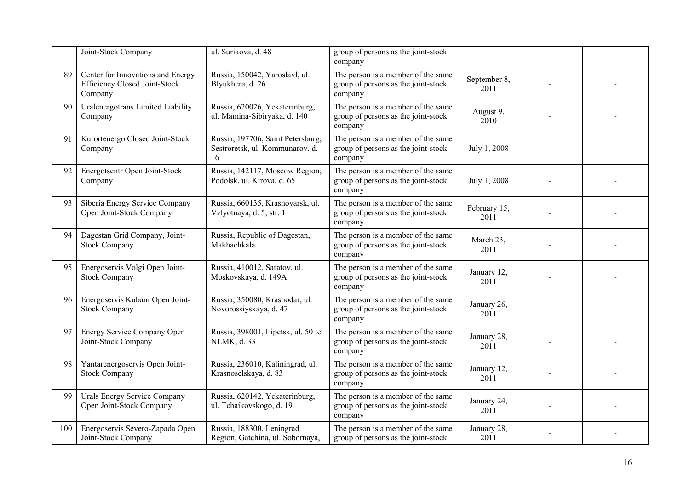|     | Joint-Stock Company                                                                  | ul. Surikova, d. 48                                                        | group of persons as the joint-stock<br>company                                       |                      |  |
|-----|--------------------------------------------------------------------------------------|----------------------------------------------------------------------------|--------------------------------------------------------------------------------------|----------------------|--|
| 89  | Center for Innovations and Energy<br><b>Efficiency Closed Joint-Stock</b><br>Company | Russia, 150042, Yaroslavl, ul.<br>Blyukhera, d. 26                         | The person is a member of the same<br>group of persons as the joint-stock<br>company | September 8,<br>2011 |  |
| 90  | Uralenergotrans Limited Liability<br>Company                                         | Russia, 620026, Yekaterinburg,<br>ul. Mamina-Sibiryaka, d. 140             | The person is a member of the same<br>group of persons as the joint-stock<br>company | August 9,<br>2010    |  |
| 91  | Kurortenergo Closed Joint-Stock<br>Company                                           | Russia, 197706, Saint Petersburg,<br>Sestroretsk, ul. Kommunarov, d.<br>16 | The person is a member of the same<br>group of persons as the joint-stock<br>company | July 1, 2008         |  |
| 92  | Energotsentr Open Joint-Stock<br>Company                                             | Russia, 142117, Moscow Region,<br>Podolsk, ul. Kirova, d. 65               | The person is a member of the same<br>group of persons as the joint-stock<br>company | July 1, 2008         |  |
| 93  | Siberia Energy Service Company<br>Open Joint-Stock Company                           | Russia, 660135, Krasnoyarsk, ul.<br>Vzlyotnaya, d. 5, str. 1               | The person is a member of the same<br>group of persons as the joint-stock<br>company | February 15,<br>2011 |  |
| 94  | Dagestan Grid Company, Joint-<br><b>Stock Company</b>                                | Russia, Republic of Dagestan,<br>Makhachkala                               | The person is a member of the same<br>group of persons as the joint-stock<br>company | March 23,<br>2011    |  |
| 95  | Energoservis Volgi Open Joint-<br><b>Stock Company</b>                               | Russia, 410012, Saratov, ul.<br>Moskovskaya, d. 149A                       | The person is a member of the same<br>group of persons as the joint-stock<br>company | January 12,<br>2011  |  |
| 96  | Energoservis Kubani Open Joint-<br><b>Stock Company</b>                              | Russia, 350080, Krasnodar, ul.<br>Novorossiyskaya, d. 47                   | The person is a member of the same<br>group of persons as the joint-stock<br>company | January 26,<br>2011  |  |
| 97  | Energy Service Company Open<br>Joint-Stock Company                                   | Russia, 398001, Lipetsk, ul. 50 let<br>NLMK, d. 33                         | The person is a member of the same<br>group of persons as the joint-stock<br>company | January 28,<br>2011  |  |
| 98  | Yantarenergoservis Open Joint-<br><b>Stock Company</b>                               | Russia, 236010, Kaliningrad, ul.<br>Krasnoselskaya, d. 83                  | The person is a member of the same<br>group of persons as the joint-stock<br>company | January 12,<br>2011  |  |
| 99  | <b>Urals Energy Service Company</b><br>Open Joint-Stock Company                      | Russia, 620142, Yekaterinburg,<br>ul. Tchaikovskogo, d. 19                 | The person is a member of the same<br>group of persons as the joint-stock<br>company | January 24,<br>2011  |  |
| 100 | Energoservis Severo-Zapada Open<br>Joint-Stock Company                               | Russia, 188300, Leningrad<br>Region, Gatchina, ul. Sobornaya,              | The person is a member of the same<br>group of persons as the joint-stock            | January 28,<br>2011  |  |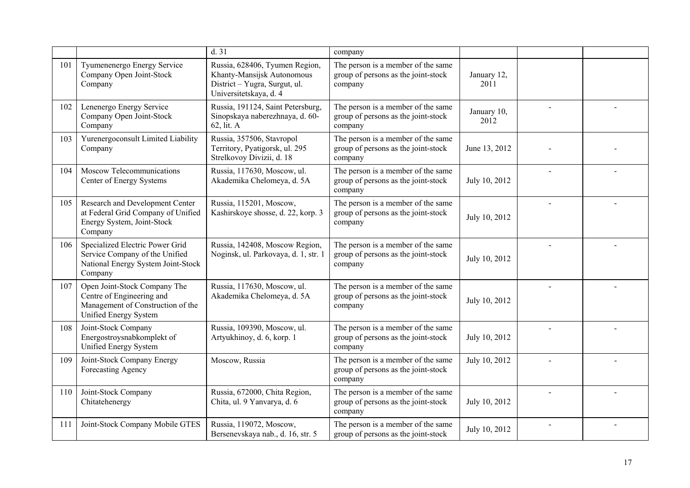|     |                                                                                                                         | d.31                                                                                                                    | company                                                                              |                     |  |
|-----|-------------------------------------------------------------------------------------------------------------------------|-------------------------------------------------------------------------------------------------------------------------|--------------------------------------------------------------------------------------|---------------------|--|
| 101 | Tyumenenergo Energy Service<br>Company Open Joint-Stock<br>Company                                                      | Russia, 628406, Tyumen Region,<br>Khanty-Mansijsk Autonomous<br>District - Yugra, Surgut, ul.<br>Universitetskaya, d. 4 | The person is a member of the same<br>group of persons as the joint-stock<br>company | January 12,<br>2011 |  |
| 102 | Lenenergo Energy Service<br>Company Open Joint-Stock<br>Company                                                         | Russia, 191124, Saint Petersburg,<br>Sinopskaya naberezhnaya, d. 60-<br>62, lit. A                                      | The person is a member of the same<br>group of persons as the joint-stock<br>company | January 10,<br>2012 |  |
| 103 | Yurenergoconsult Limited Liability<br>Company                                                                           | Russia, 357506, Stavropol<br>Territory, Pyatigorsk, ul. 295<br>Strelkovoy Divizii, d. 18                                | The person is a member of the same<br>group of persons as the joint-stock<br>company | June 13, 2012       |  |
| 104 | Moscow Telecommunications<br>Center of Energy Systems                                                                   | Russia, 117630, Moscow, ul.<br>Akademika Chelomeya, d. 5A                                                               | The person is a member of the same<br>group of persons as the joint-stock<br>company | July 10, 2012       |  |
| 105 | Research and Development Center<br>at Federal Grid Company of Unified<br>Energy System, Joint-Stock<br>Company          | Russia, 115201, Moscow,<br>Kashirskoye shosse, d. 22, korp. 3                                                           | The person is a member of the same<br>group of persons as the joint-stock<br>company | July 10, 2012       |  |
| 106 | Specialized Electric Power Grid<br>Service Company of the Unified<br>National Energy System Joint-Stock<br>Company      | Russia, 142408, Moscow Region,<br>Noginsk, ul. Parkovaya, d. 1, str. 1                                                  | The person is a member of the same<br>group of persons as the joint-stock<br>company | July 10, 2012       |  |
| 107 | Open Joint-Stock Company The<br>Centre of Engineering and<br>Management of Construction of the<br>Unified Energy System | Russia, 117630, Moscow, ul.<br>Akademika Chelomeya, d. 5A                                                               | The person is a member of the same<br>group of persons as the joint-stock<br>company | July 10, 2012       |  |
| 108 | Joint-Stock Company<br>Energostroysnabkomplekt of<br>Unified Energy System                                              | Russia, 109390, Moscow, ul.<br>Artyukhinoy, d. 6, korp. 1                                                               | The person is a member of the same<br>group of persons as the joint-stock<br>company | July 10, 2012       |  |
| 109 | Joint-Stock Company Energy<br>Forecasting Agency                                                                        | Moscow, Russia                                                                                                          | The person is a member of the same<br>group of persons as the joint-stock<br>company | July 10, 2012       |  |
| 110 | Joint-Stock Company<br>Chitatehenergy                                                                                   | Russia, 672000, Chita Region,<br>Chita, ul. 9 Yanvarya, d. 6                                                            | The person is a member of the same<br>group of persons as the joint-stock<br>company | July 10, 2012       |  |
| 111 | Joint-Stock Company Mobile GTES                                                                                         | Russia, 119072, Moscow,<br>Bersenevskaya nab., d. 16, str. 5                                                            | The person is a member of the same<br>group of persons as the joint-stock            | July 10, 2012       |  |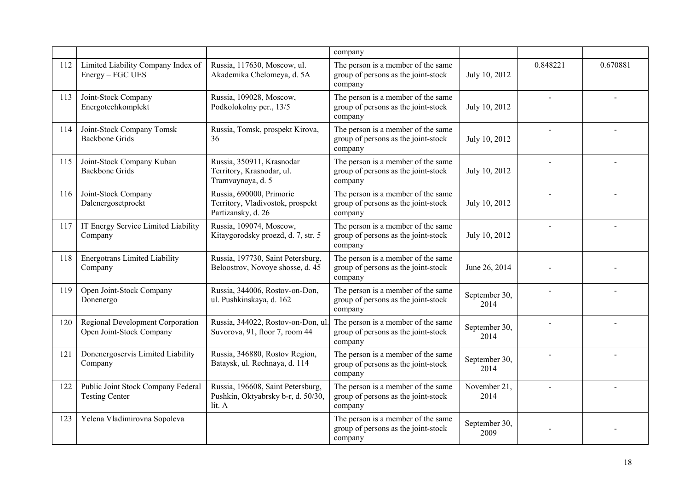|     |                                                              |                                                                                    | company                                                                              |                       |          |          |
|-----|--------------------------------------------------------------|------------------------------------------------------------------------------------|--------------------------------------------------------------------------------------|-----------------------|----------|----------|
| 112 | Limited Liability Company Index of<br>Energy - FGC UES       | Russia, 117630, Moscow, ul.<br>Akademika Chelomeya, d. 5A                          | The person is a member of the same<br>group of persons as the joint-stock<br>company | July 10, 2012         | 0.848221 | 0.670881 |
| 113 | Joint-Stock Company<br>Energotechkomplekt                    | Russia, 109028, Moscow,<br>Podkolokolny per., 13/5                                 | The person is a member of the same<br>group of persons as the joint-stock<br>company | July 10, 2012         |          |          |
| 114 | Joint-Stock Company Tomsk<br><b>Backbone Grids</b>           | Russia, Tomsk, prospekt Kirova,<br>36                                              | The person is a member of the same<br>group of persons as the joint-stock<br>company | July 10, 2012         |          |          |
| 115 | Joint-Stock Company Kuban<br><b>Backbone Grids</b>           | Russia, 350911, Krasnodar<br>Territory, Krasnodar, ul.<br>Tramvaynaya, d. 5        | The person is a member of the same<br>group of persons as the joint-stock<br>company | July 10, 2012         |          |          |
| 116 | Joint-Stock Company<br>Dalenergosetproekt                    | Russia, 690000, Primorie<br>Territory, Vladivostok, prospekt<br>Partizansky, d. 26 | The person is a member of the same<br>group of persons as the joint-stock<br>company | July 10, 2012         |          |          |
| 117 | IT Energy Service Limited Liability<br>Company               | Russia, 109074, Moscow,<br>Kitaygorodsky proezd, d. 7, str. 5                      | The person is a member of the same<br>group of persons as the joint-stock<br>company | July 10, 2012         |          |          |
| 118 | <b>Energotrans Limited Liability</b><br>Company              | Russia, 197730, Saint Petersburg,<br>Beloostrov, Novoye shosse, d. 45              | The person is a member of the same<br>group of persons as the joint-stock<br>company | June 26, 2014         |          |          |
| 119 | Open Joint-Stock Company<br>Donenergo                        | Russia, 344006, Rostov-on-Don,<br>ul. Pushkinskaya, d. 162                         | The person is a member of the same<br>group of persons as the joint-stock<br>company | September 30,<br>2014 |          |          |
| 120 | Regional Development Corporation<br>Open Joint-Stock Company | Russia, 344022, Rostov-on-Don, ul.<br>Suvorova, 91, floor 7, room 44               | The person is a member of the same<br>group of persons as the joint-stock<br>company | September 30,<br>2014 |          |          |
| 121 | Donenergoservis Limited Liability<br>Company                 | Russia, 346880, Rostov Region,<br>Bataysk, ul. Rechnaya, d. 114                    | The person is a member of the same<br>group of persons as the joint-stock<br>company | September 30,<br>2014 |          |          |
| 122 | Public Joint Stock Company Federal<br><b>Testing Center</b>  | Russia, 196608, Saint Petersburg,<br>Pushkin, Oktyabrsky b-r, d. 50/30,<br>lit. A  | The person is a member of the same<br>group of persons as the joint-stock<br>company | November 21,<br>2014  |          |          |
| 123 | Yelena Vladimirovna Sopoleva                                 |                                                                                    | The person is a member of the same<br>group of persons as the joint-stock<br>company | September 30,<br>2009 |          |          |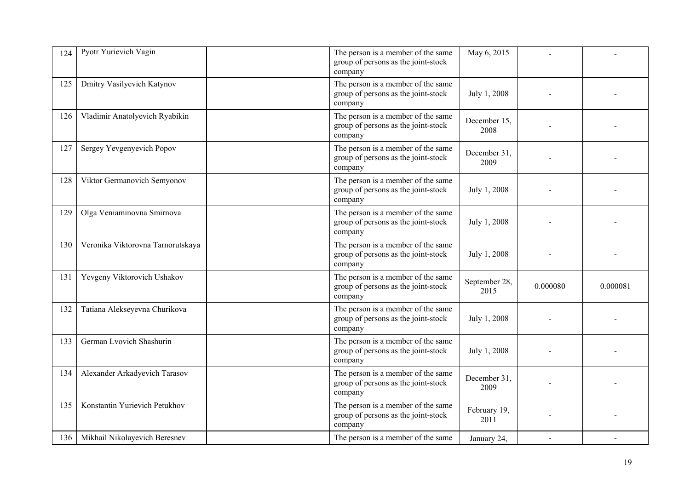| 124 | Pyotr Yurievich Vagin             | The person is a member of the same<br>group of persons as the joint-stock<br>company | May 6, 2015           |          |          |
|-----|-----------------------------------|--------------------------------------------------------------------------------------|-----------------------|----------|----------|
| 125 | Dmitry Vasilyevich Katynov        | The person is a member of the same<br>group of persons as the joint-stock<br>company | July 1, 2008          |          |          |
| 126 | Vladimir Anatolyevich Ryabikin    | The person is a member of the same<br>group of persons as the joint-stock<br>company | December 15,<br>2008  |          |          |
| 127 | Sergey Yevgenyevich Popov         | The person is a member of the same<br>group of persons as the joint-stock<br>company | December 31,<br>2009  |          |          |
| 128 | Viktor Germanovich Semyonov       | The person is a member of the same<br>group of persons as the joint-stock<br>company | July 1, 2008          |          |          |
| 129 | Olga Veniaminovna Smirnova        | The person is a member of the same<br>group of persons as the joint-stock<br>company | July 1, 2008          |          |          |
| 130 | Veronika Viktorovna Tarnorutskaya | The person is a member of the same<br>group of persons as the joint-stock<br>company | July 1, 2008          |          |          |
| 131 | Yevgeny Viktorovich Ushakov       | The person is a member of the same<br>group of persons as the joint-stock<br>company | September 28,<br>2015 | 0.000080 | 0.000081 |
| 132 | Tatiana Alekseyevna Churikova     | The person is a member of the same<br>group of persons as the joint-stock<br>company | July 1, 2008          |          |          |
| 133 | German Lvovich Shashurin          | The person is a member of the same<br>group of persons as the joint-stock<br>company | July 1, 2008          |          |          |
| 134 | Alexander Arkadyevich Tarasov     | The person is a member of the same<br>group of persons as the joint-stock<br>company | December 31,<br>2009  |          |          |
| 135 | Konstantin Yurievich Petukhov     | The person is a member of the same<br>group of persons as the joint-stock<br>company | February 19,<br>2011  |          |          |
| 136 | Mikhail Nikolayevich Beresnev     | The person is a member of the same                                                   | January 24,           |          |          |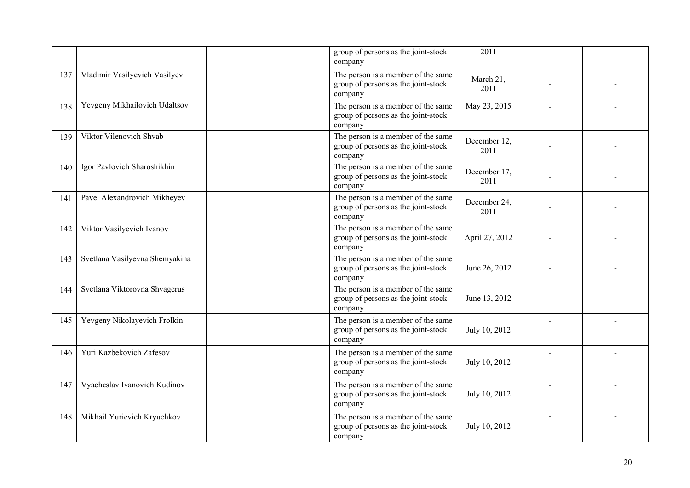|     |                                | group of persons as the joint-stock<br>company                                       | 2011                 |  |
|-----|--------------------------------|--------------------------------------------------------------------------------------|----------------------|--|
| 137 | Vladimir Vasilyevich Vasilyev  | The person is a member of the same<br>group of persons as the joint-stock<br>company | March 21,<br>2011    |  |
| 138 | Yevgeny Mikhailovich Udaltsov  | The person is a member of the same<br>group of persons as the joint-stock<br>company | May 23, 2015         |  |
| 139 | Viktor Vilenovich Shvab        | The person is a member of the same<br>group of persons as the joint-stock<br>company | December 12,<br>2011 |  |
| 140 | Igor Pavlovich Sharoshikhin    | The person is a member of the same<br>group of persons as the joint-stock<br>company | December 17,<br>2011 |  |
| 141 | Pavel Alexandrovich Mikheyev   | The person is a member of the same<br>group of persons as the joint-stock<br>company | December 24,<br>2011 |  |
| 142 | Viktor Vasilyevich Ivanov      | The person is a member of the same<br>group of persons as the joint-stock<br>company | April 27, 2012       |  |
| 143 | Svetlana Vasilyevna Shemyakina | The person is a member of the same<br>group of persons as the joint-stock<br>company | June 26, 2012        |  |
| 144 | Svetlana Viktorovna Shvagerus  | The person is a member of the same<br>group of persons as the joint-stock<br>company | June 13, 2012        |  |
| 145 | Yevgeny Nikolayevich Frolkin   | The person is a member of the same<br>group of persons as the joint-stock<br>company | July 10, 2012        |  |
| 146 | Yuri Kazbekovich Zafesov       | The person is a member of the same<br>group of persons as the joint-stock<br>company | July 10, 2012        |  |
| 147 | Vyacheslav Ivanovich Kudinov   | The person is a member of the same<br>group of persons as the joint-stock<br>company | July 10, 2012        |  |
| 148 | Mikhail Yurievich Kryuchkov    | The person is a member of the same<br>group of persons as the joint-stock<br>company | July 10, 2012        |  |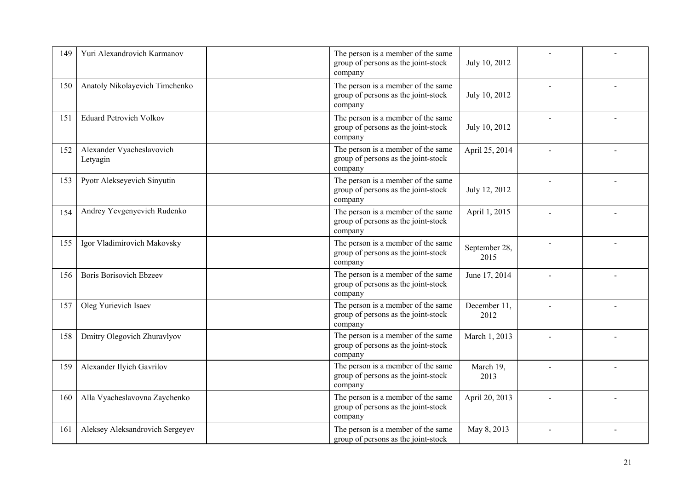| 149 | Yuri Alexandrovich Karmanov           | The person is a member of the same<br>group of persons as the joint-stock<br>company | July 10, 2012         |  |
|-----|---------------------------------------|--------------------------------------------------------------------------------------|-----------------------|--|
| 150 | Anatoly Nikolayevich Timchenko        | The person is a member of the same<br>group of persons as the joint-stock<br>company | July 10, 2012         |  |
| 151 | <b>Eduard Petrovich Volkov</b>        | The person is a member of the same<br>group of persons as the joint-stock<br>company | July 10, 2012         |  |
| 152 | Alexander Vyacheslavovich<br>Letyagin | The person is a member of the same<br>group of persons as the joint-stock<br>company | April 25, 2014        |  |
| 153 | Pyotr Alekseyevich Sinyutin           | The person is a member of the same<br>group of persons as the joint-stock<br>company | July 12, 2012         |  |
| 154 | Andrey Yevgenyevich Rudenko           | The person is a member of the same<br>group of persons as the joint-stock<br>company | April 1, 2015         |  |
| 155 | Igor Vladimirovich Makovsky           | The person is a member of the same<br>group of persons as the joint-stock<br>company | September 28,<br>2015 |  |
| 156 | <b>Boris Borisovich Ebzeev</b>        | The person is a member of the same<br>group of persons as the joint-stock<br>company | June 17, 2014         |  |
| 157 | Oleg Yurievich Isaev                  | The person is a member of the same<br>group of persons as the joint-stock<br>company | December 11,<br>2012  |  |
| 158 | Dmitry Olegovich Zhuravlyov           | The person is a member of the same<br>group of persons as the joint-stock<br>company | March 1, 2013         |  |
| 159 | Alexander Ilyich Gavrilov             | The person is a member of the same<br>group of persons as the joint-stock<br>company | March 19,<br>2013     |  |
| 160 | Alla Vyacheslavovna Zaychenko         | The person is a member of the same<br>group of persons as the joint-stock<br>company | April 20, 2013        |  |
| 161 | Aleksey Aleksandrovich Sergeyev       | The person is a member of the same<br>group of persons as the joint-stock            | May 8, 2013           |  |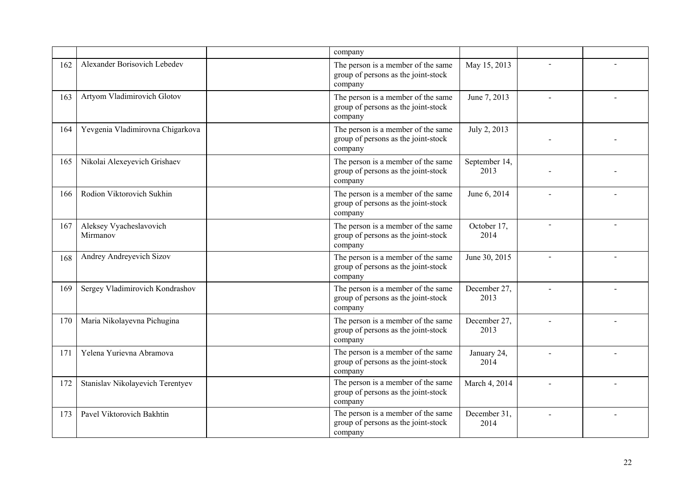|     |                                     | company                                                                              |                       |                          |  |
|-----|-------------------------------------|--------------------------------------------------------------------------------------|-----------------------|--------------------------|--|
| 162 | Alexander Borisovich Lebedev        | The person is a member of the same<br>group of persons as the joint-stock<br>company | May 15, 2013          |                          |  |
| 163 | Artyom Vladimirovich Glotov         | The person is a member of the same<br>group of persons as the joint-stock<br>company | June 7, 2013          |                          |  |
| 164 | Yevgenia Vladimirovna Chigarkova    | The person is a member of the same<br>group of persons as the joint-stock<br>company | July 2, 2013          |                          |  |
| 165 | Nikolai Alexeyevich Grishaev        | The person is a member of the same<br>group of persons as the joint-stock<br>company | September 14,<br>2013 |                          |  |
| 166 | Rodion Viktorovich Sukhin           | The person is a member of the same<br>group of persons as the joint-stock<br>company | June 6, 2014          | $\overline{a}$           |  |
| 167 | Aleksey Vyacheslavovich<br>Mirmanov | The person is a member of the same<br>group of persons as the joint-stock<br>company | October 17,<br>2014   | $\overline{\phantom{a}}$ |  |
| 168 | Andrey Andreyevich Sizov            | The person is a member of the same<br>group of persons as the joint-stock<br>company | June 30, 2015         | $\overline{\phantom{a}}$ |  |
| 169 | Sergey Vladimirovich Kondrashov     | The person is a member of the same<br>group of persons as the joint-stock<br>company | December 27,<br>2013  |                          |  |
| 170 | Maria Nikolayevna Pichugina         | The person is a member of the same<br>group of persons as the joint-stock<br>company | December 27,<br>2013  |                          |  |
| 171 | Yelena Yurievna Abramova            | The person is a member of the same<br>group of persons as the joint-stock<br>company | January 24,<br>2014   |                          |  |
| 172 | Stanislav Nikolayevich Terentyev    | The person is a member of the same<br>group of persons as the joint-stock<br>company | March 4, 2014         |                          |  |
| 173 | Pavel Viktorovich Bakhtin           | The person is a member of the same<br>group of persons as the joint-stock<br>company | December 31,<br>2014  |                          |  |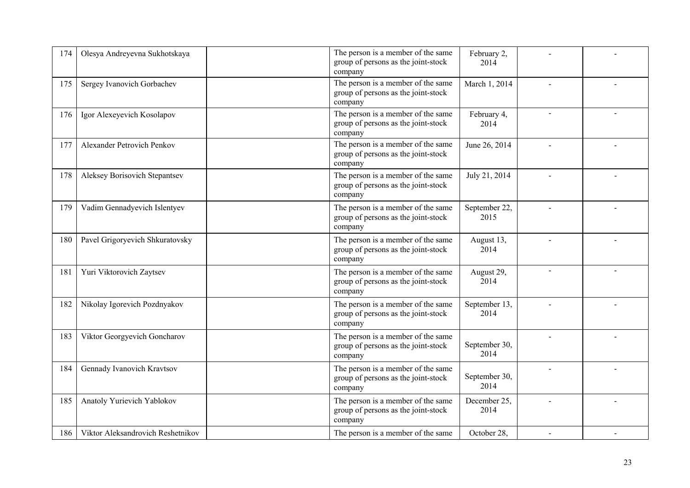| 174 | Olesya Andreyevna Sukhotskaya     | The person is a member of the same<br>group of persons as the joint-stock<br>company | February 2,<br>2014   |  |
|-----|-----------------------------------|--------------------------------------------------------------------------------------|-----------------------|--|
| 175 | Sergey Ivanovich Gorbachev        | The person is a member of the same<br>group of persons as the joint-stock<br>company | March 1, 2014         |  |
| 176 | Igor Alexeyevich Kosolapov        | The person is a member of the same<br>group of persons as the joint-stock<br>company | February 4,<br>2014   |  |
| 177 | <b>Alexander Petrovich Penkov</b> | The person is a member of the same<br>group of persons as the joint-stock<br>company | June 26, 2014         |  |
| 178 | Aleksey Borisovich Stepantsev     | The person is a member of the same<br>group of persons as the joint-stock<br>company | July 21, 2014         |  |
| 179 | Vadim Gennadyevich Islentyev      | The person is a member of the same<br>group of persons as the joint-stock<br>company | September 22,<br>2015 |  |
| 180 | Pavel Grigoryevich Shkuratovsky   | The person is a member of the same<br>group of persons as the joint-stock<br>company | August 13,<br>2014    |  |
| 181 | Yuri Viktorovich Zaytsev          | The person is a member of the same<br>group of persons as the joint-stock<br>company | August 29,<br>2014    |  |
| 182 | Nikolay Igorevich Pozdnyakov      | The person is a member of the same<br>group of persons as the joint-stock<br>company | September 13,<br>2014 |  |
| 183 | Viktor Georgyevich Goncharov      | The person is a member of the same<br>group of persons as the joint-stock<br>company | September 30,<br>2014 |  |
| 184 | Gennady Ivanovich Kravtsov        | The person is a member of the same<br>group of persons as the joint-stock<br>company | September 30,<br>2014 |  |
| 185 | Anatoly Yurievich Yablokov        | The person is a member of the same<br>group of persons as the joint-stock<br>company | December 25,<br>2014  |  |
| 186 | Viktor Aleksandrovich Reshetnikov | The person is a member of the same                                                   | October 28,           |  |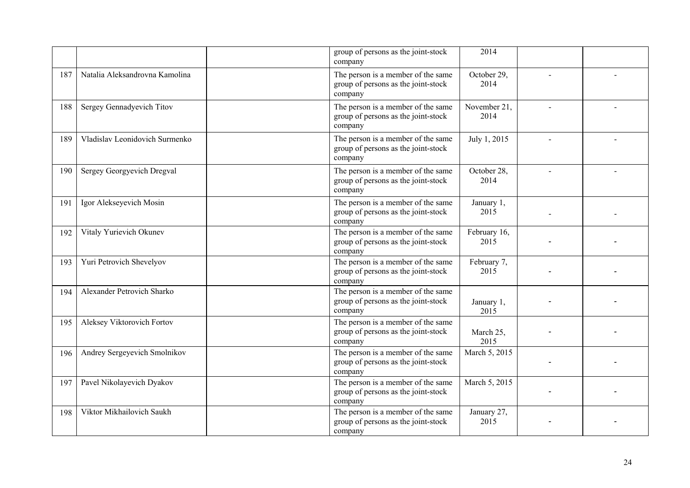|     |                                | group of persons as the joint-stock<br>company                                       | 2014                 |  |
|-----|--------------------------------|--------------------------------------------------------------------------------------|----------------------|--|
| 187 | Natalia Aleksandrovna Kamolina | The person is a member of the same<br>group of persons as the joint-stock<br>company | October 29,<br>2014  |  |
| 188 | Sergey Gennadyevich Titov      | The person is a member of the same<br>group of persons as the joint-stock<br>company | November 21,<br>2014 |  |
| 189 | Vladislav Leonidovich Surmenko | The person is a member of the same<br>group of persons as the joint-stock<br>company | July 1, 2015         |  |
| 190 | Sergey Georgyevich Dregval     | The person is a member of the same<br>group of persons as the joint-stock<br>company | October 28,<br>2014  |  |
| 191 | Igor Alekseyevich Mosin        | The person is a member of the same<br>group of persons as the joint-stock<br>company | January 1,<br>2015   |  |
| 192 | Vitaly Yurievich Okunev        | The person is a member of the same<br>group of persons as the joint-stock<br>company | February 16,<br>2015 |  |
| 193 | Yuri Petrovich Shevelyov       | The person is a member of the same<br>group of persons as the joint-stock<br>company | February 7,<br>2015  |  |
| 194 | Alexander Petrovich Sharko     | The person is a member of the same<br>group of persons as the joint-stock<br>company | January 1,<br>2015   |  |
| 195 | Aleksey Viktorovich Fortov     | The person is a member of the same<br>group of persons as the joint-stock<br>company | March 25,<br>2015    |  |
| 196 | Andrey Sergeyevich Smolnikov   | The person is a member of the same<br>group of persons as the joint-stock<br>company | March 5, 2015        |  |
| 197 | Pavel Nikolayevich Dyakov      | The person is a member of the same<br>group of persons as the joint-stock<br>company | March 5, 2015        |  |
| 198 | Viktor Mikhailovich Saukh      | The person is a member of the same<br>group of persons as the joint-stock<br>company | January 27,<br>2015  |  |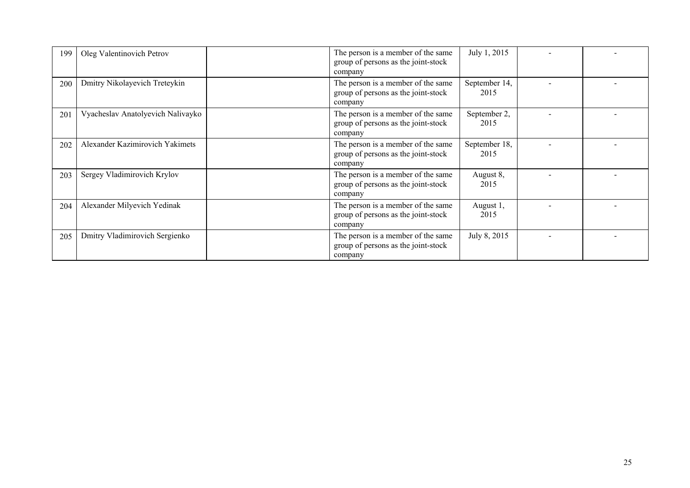| 199 | Oleg Valentinovich Petrov         | The person is a member of the same<br>group of persons as the joint-stock<br>company | July 1, 2015          |  |
|-----|-----------------------------------|--------------------------------------------------------------------------------------|-----------------------|--|
| 200 | Dmitry Nikolayevich Treteykin     | The person is a member of the same<br>group of persons as the joint-stock<br>company | September 14,<br>2015 |  |
| 201 | Vyacheslav Anatolyevich Nalivayko | The person is a member of the same<br>group of persons as the joint-stock<br>company | September 2,<br>2015  |  |
| 202 | Alexander Kazimirovich Yakimets   | The person is a member of the same<br>group of persons as the joint-stock<br>company | September 18,<br>2015 |  |
| 203 | Sergey Vladimirovich Krylov       | The person is a member of the same<br>group of persons as the joint-stock<br>company | August 8,<br>2015     |  |
| 204 | Alexander Milyevich Yedinak       | The person is a member of the same<br>group of persons as the joint-stock<br>company | August 1,<br>2015     |  |
| 205 | Dmitry Vladimirovich Sergienko    | The person is a member of the same<br>group of persons as the joint-stock<br>company | July 8, 2015          |  |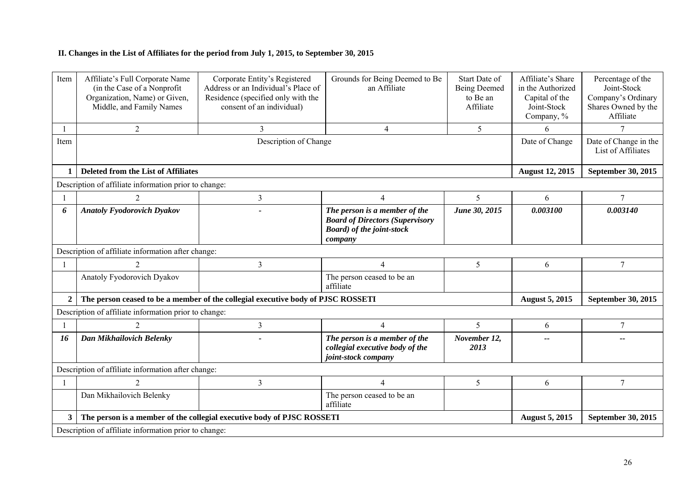## **II. Changes in the List of Affiliates for the period from July 1, 2015, to September 30, 2015**

| Item         | Affiliate's Full Corporate Name<br>(in the Case of a Nonprofit)<br>Organization, Name) or Given,<br>Middle, and Family Names | Corporate Entity's Registered<br>Address or an Individual's Place of<br>Residence (specified only with the<br>consent of an individual) | Grounds for Being Deemed to Be<br>an Affiliate                                                                          | <b>Start Date of</b><br><b>Being Deemed</b><br>to Be an<br>Affiliate | Affiliate's Share<br>in the Authorized<br>Capital of the<br>Joint-Stock<br>Company, % | Percentage of the<br>Joint-Stock<br>Company's Ordinary<br>Shares Owned by the<br>Affiliate |  |
|--------------|------------------------------------------------------------------------------------------------------------------------------|-----------------------------------------------------------------------------------------------------------------------------------------|-------------------------------------------------------------------------------------------------------------------------|----------------------------------------------------------------------|---------------------------------------------------------------------------------------|--------------------------------------------------------------------------------------------|--|
|              | $\overline{2}$                                                                                                               | 3                                                                                                                                       | $\overline{4}$                                                                                                          | 5                                                                    | 6                                                                                     | $\overline{7}$                                                                             |  |
| Item         |                                                                                                                              |                                                                                                                                         | Date of Change                                                                                                          | Date of Change in the<br>List of Affiliates                          |                                                                                       |                                                                                            |  |
| 1            | Deleted from the List of Affiliates                                                                                          |                                                                                                                                         |                                                                                                                         |                                                                      | <b>August 12, 2015</b>                                                                | September 30, 2015                                                                         |  |
|              | Description of affiliate information prior to change:                                                                        |                                                                                                                                         |                                                                                                                         |                                                                      |                                                                                       |                                                                                            |  |
|              | $\overline{2}$                                                                                                               | $\overline{3}$                                                                                                                          | $\overline{4}$                                                                                                          | 5                                                                    | 6                                                                                     | $\tau$                                                                                     |  |
| 6            | <b>Anatoly Fyodorovich Dyakov</b>                                                                                            |                                                                                                                                         | The person is a member of the<br><b>Board of Directors (Supervisory</b><br><b>Board</b> ) of the joint-stock<br>company | June 30, 2015                                                        | 0.003100                                                                              | 0.003140                                                                                   |  |
|              | Description of affiliate information after change:                                                                           |                                                                                                                                         |                                                                                                                         |                                                                      |                                                                                       |                                                                                            |  |
|              | 2                                                                                                                            | 3                                                                                                                                       | $\overline{4}$                                                                                                          | 5                                                                    | 6                                                                                     | 7                                                                                          |  |
|              | Anatoly Fyodorovich Dyakov                                                                                                   |                                                                                                                                         | The person ceased to be an<br>affiliate                                                                                 |                                                                      |                                                                                       |                                                                                            |  |
| 2            |                                                                                                                              | The person ceased to be a member of the collegial executive body of PJSC ROSSETI                                                        |                                                                                                                         |                                                                      | <b>August 5, 2015</b>                                                                 | September 30, 2015                                                                         |  |
|              | Description of affiliate information prior to change:                                                                        |                                                                                                                                         |                                                                                                                         |                                                                      |                                                                                       |                                                                                            |  |
|              | $\overline{2}$                                                                                                               | $\overline{3}$                                                                                                                          | $\overline{4}$                                                                                                          | 5                                                                    | 6                                                                                     | $\tau$                                                                                     |  |
| 16           | Dan Mikhailovich Belenky                                                                                                     |                                                                                                                                         | The person is a member of the<br>collegial executive body of the<br>joint-stock company                                 | November 12,<br>2013                                                 | --                                                                                    |                                                                                            |  |
|              | Description of affiliate information after change:                                                                           |                                                                                                                                         |                                                                                                                         |                                                                      |                                                                                       |                                                                                            |  |
| $\mathbf{1}$ | $\overline{2}$                                                                                                               | 3                                                                                                                                       | $\overline{4}$                                                                                                          | 5                                                                    | 6                                                                                     | $7\phantom{.0}$                                                                            |  |
|              | Dan Mikhailovich Belenky                                                                                                     |                                                                                                                                         | The person ceased to be an<br>affiliate                                                                                 |                                                                      |                                                                                       |                                                                                            |  |
| 3            |                                                                                                                              | The person is a member of the collegial executive body of PJSC ROSSETI                                                                  |                                                                                                                         |                                                                      | <b>August 5, 2015</b>                                                                 | <b>September 30, 2015</b>                                                                  |  |
|              | Description of affiliate information prior to change:                                                                        |                                                                                                                                         |                                                                                                                         |                                                                      |                                                                                       |                                                                                            |  |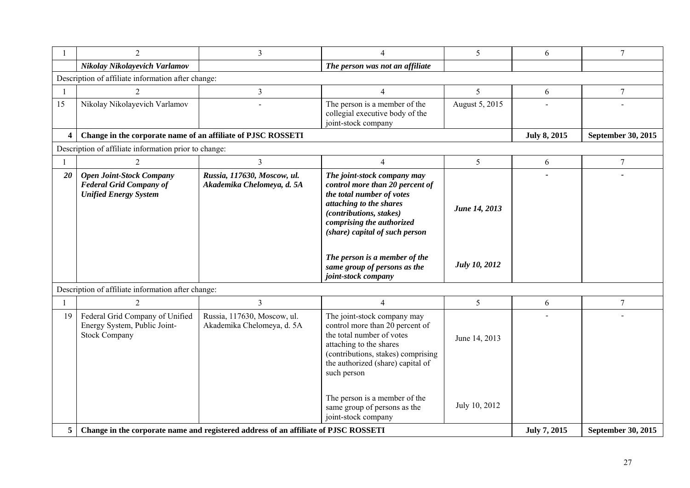|                         | $\overline{2}$                                                                                    | $\overline{3}$                                            | $\overline{4}$                                                                                                                                                                                                   | 5                    | 6                   | $\overline{7}$     |  |  |  |
|-------------------------|---------------------------------------------------------------------------------------------------|-----------------------------------------------------------|------------------------------------------------------------------------------------------------------------------------------------------------------------------------------------------------------------------|----------------------|---------------------|--------------------|--|--|--|
|                         | Nikolay Nikolayevich Varlamov                                                                     |                                                           | The person was not an affiliate                                                                                                                                                                                  |                      |                     |                    |  |  |  |
|                         | Description of affiliate information after change:                                                |                                                           |                                                                                                                                                                                                                  |                      |                     |                    |  |  |  |
| $\overline{1}$          | $\overline{2}$                                                                                    | 3                                                         | $\overline{4}$                                                                                                                                                                                                   | 5                    | 6                   | $\overline{7}$     |  |  |  |
| 15                      | Nikolay Nikolayevich Varlamov                                                                     |                                                           | The person is a member of the<br>collegial executive body of the<br>joint-stock company                                                                                                                          | August 5, 2015       |                     |                    |  |  |  |
| $\overline{\mathbf{4}}$ | Change in the corporate name of an affiliate of PJSC ROSSETI                                      |                                                           |                                                                                                                                                                                                                  |                      | <b>July 8, 2015</b> | September 30, 2015 |  |  |  |
|                         | Description of affiliate information prior to change:                                             |                                                           |                                                                                                                                                                                                                  |                      |                     |                    |  |  |  |
|                         | 2                                                                                                 | 3                                                         | 4                                                                                                                                                                                                                | 5                    | 6                   | 7                  |  |  |  |
| 20                      | <b>Open Joint-Stock Company</b><br><b>Federal Grid Company of</b><br><b>Unified Energy System</b> | Russia, 117630, Moscow, ul.<br>Akademika Chelomeya, d. 5A | The joint-stock company may<br>control more than 20 percent of<br>the total number of votes<br>attaching to the shares<br>(contributions, stakes)<br>comprising the authorized<br>(share) capital of such person | June 14, 2013        |                     |                    |  |  |  |
|                         |                                                                                                   |                                                           | The person is a member of the<br>same group of persons as the<br>joint-stock company                                                                                                                             | <b>July 10, 2012</b> |                     |                    |  |  |  |
|                         | Description of affiliate information after change:                                                |                                                           |                                                                                                                                                                                                                  |                      |                     |                    |  |  |  |
|                         | 2                                                                                                 | 3                                                         | $\overline{4}$                                                                                                                                                                                                   | 5 <sup>1</sup>       | 6                   | 7                  |  |  |  |
| 19                      | Federal Grid Company of Unified<br>Energy System, Public Joint-<br><b>Stock Company</b>           | Russia, 117630, Moscow, ul.<br>Akademika Chelomeya, d. 5A | The joint-stock company may<br>control more than 20 percent of<br>the total number of votes<br>attaching to the shares<br>(contributions, stakes) comprising<br>the authorized (share) capital of<br>such person | June 14, 2013        |                     |                    |  |  |  |
|                         |                                                                                                   |                                                           | The person is a member of the<br>same group of persons as the<br>joint-stock company                                                                                                                             | July 10, 2012        |                     |                    |  |  |  |
| 5                       | Change in the corporate name and registered address of an affiliate of PJSC ROSSETI               |                                                           |                                                                                                                                                                                                                  |                      | July 7, 2015        | September 30, 2015 |  |  |  |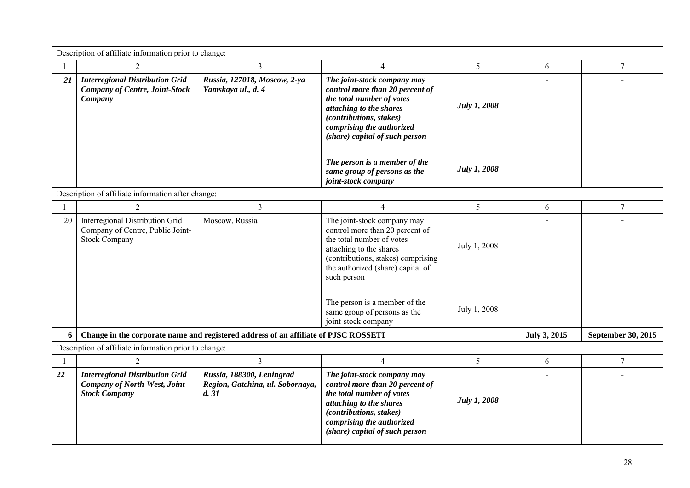|                | Description of affiliate information prior to change:                                                 |                                                                                     |                                                                                                                                                                                                                                                   |                |              |                           |  |
|----------------|-------------------------------------------------------------------------------------------------------|-------------------------------------------------------------------------------------|---------------------------------------------------------------------------------------------------------------------------------------------------------------------------------------------------------------------------------------------------|----------------|--------------|---------------------------|--|
| $\mathbf{1}$   | 2                                                                                                     | 3                                                                                   | $\overline{4}$                                                                                                                                                                                                                                    | 5              | 6            | 7                         |  |
| 21             | <b>Interregional Distribution Grid</b><br><b>Company of Centre, Joint-Stock</b><br>Company            | Russia, 127018, Moscow, 2-ya<br>Yamskaya ul., d. 4                                  | The joint-stock company may<br>control more than 20 percent of<br>the total number of votes<br>attaching to the shares<br>(contributions, stakes)<br>comprising the authorized<br>(share) capital of such person                                  | July 1, 2008   |              |                           |  |
|                |                                                                                                       |                                                                                     | The person is a member of the<br>same group of persons as the<br>joint-stock company                                                                                                                                                              | July 1, 2008   |              |                           |  |
|                | Description of affiliate information after change:                                                    |                                                                                     |                                                                                                                                                                                                                                                   |                |              |                           |  |
| $\mathbf{1}$   | 2                                                                                                     | $\overline{3}$                                                                      | $\overline{4}$                                                                                                                                                                                                                                    | 5 <sup>1</sup> | 6            | $\overline{7}$            |  |
| 20             | Interregional Distribution Grid<br>Company of Centre, Public Joint-<br><b>Stock Company</b>           | Moscow, Russia                                                                      | The joint-stock company may<br>control more than 20 percent of<br>the total number of votes<br>attaching to the shares<br>(contributions, stakes) comprising<br>the authorized (share) capital of<br>such person<br>The person is a member of the | July 1, 2008   |              |                           |  |
|                |                                                                                                       |                                                                                     | same group of persons as the<br>joint-stock company                                                                                                                                                                                               | July 1, 2008   |              |                           |  |
| 6              |                                                                                                       | Change in the corporate name and registered address of an affiliate of PJSC ROSSETI |                                                                                                                                                                                                                                                   |                | July 3, 2015 | <b>September 30, 2015</b> |  |
|                | Description of affiliate information prior to change:                                                 |                                                                                     |                                                                                                                                                                                                                                                   |                |              |                           |  |
| $\overline{1}$ | $\overline{2}$                                                                                        | $\overline{3}$                                                                      | $\overline{4}$                                                                                                                                                                                                                                    | 5              | 6            | $\tau$                    |  |
| 22             | <b>Interregional Distribution Grid</b><br><b>Company of North-West, Joint</b><br><b>Stock Company</b> | Russia, 188300, Leningrad<br>Region, Gatchina, ul. Sobornaya,<br>d.31               | The joint-stock company may<br>control more than 20 percent of<br>the total number of votes<br>attaching to the shares<br>(contributions, stakes)<br>comprising the authorized<br>(share) capital of such person                                  | July 1, 2008   |              |                           |  |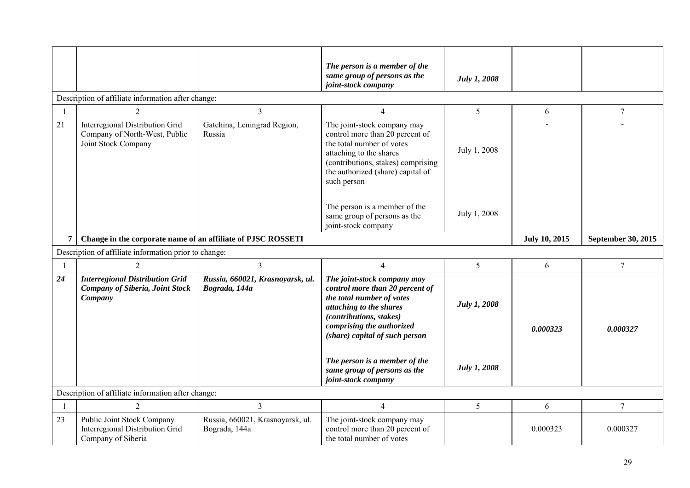|                |                                                                                             |                                                   | The person is a member of the<br>same group of persons as the<br>joint-stock company                                                                                                                             | <b>July 1, 2008</b> |          |                |  |  |  |
|----------------|---------------------------------------------------------------------------------------------|---------------------------------------------------|------------------------------------------------------------------------------------------------------------------------------------------------------------------------------------------------------------------|---------------------|----------|----------------|--|--|--|
|                | Description of affiliate information after change:                                          |                                                   |                                                                                                                                                                                                                  |                     |          |                |  |  |  |
| $\overline{1}$ | $\overline{2}$                                                                              | $\overline{3}$                                    | $\overline{4}$                                                                                                                                                                                                   | 5 <sup>5</sup>      | 6        | $\tau$         |  |  |  |
| 21             | Interregional Distribution Grid<br>Company of North-West, Public<br>Joint Stock Company     | Gatchina, Leningrad Region,<br>Russia             | The joint-stock company may<br>control more than 20 percent of<br>the total number of votes<br>attaching to the shares<br>(contributions, stakes) comprising<br>the authorized (share) capital of<br>such person | July 1, 2008        |          |                |  |  |  |
|                |                                                                                             |                                                   | The person is a member of the<br>same group of persons as the<br>joint-stock company                                                                                                                             | July 1, 2008        |          |                |  |  |  |
| $\overline{7}$ | Change in the corporate name of an affiliate of PJSC ROSSETI                                |                                                   | <b>July 10, 2015</b>                                                                                                                                                                                             | September 30, 2015  |          |                |  |  |  |
|                | Description of affiliate information prior to change:                                       |                                                   |                                                                                                                                                                                                                  |                     |          |                |  |  |  |
| $\overline{1}$ | $\overline{2}$                                                                              | $\mathfrak{Z}$                                    | $\overline{4}$                                                                                                                                                                                                   | 5                   | 6        | $\overline{7}$ |  |  |  |
| 24             | <b>Interregional Distribution Grid</b><br><b>Company of Siberia, Joint Stock</b><br>Company | Russia, 660021, Krasnoyarsk, ul.<br>Bograda, 144a | The joint-stock company may<br>control more than 20 percent of<br>the total number of votes<br>attaching to the shares<br>(contributions, stakes)<br>comprising the authorized<br>(share) capital of such person | <b>July 1, 2008</b> | 0.000323 | 0.000327       |  |  |  |
|                |                                                                                             |                                                   | The person is a member of the<br>same group of persons as the<br>joint-stock company                                                                                                                             | <b>July 1, 2008</b> |          |                |  |  |  |
|                | Description of affiliate information after change:                                          |                                                   |                                                                                                                                                                                                                  |                     |          |                |  |  |  |
| $\mathbf{1}$   | $\overline{2}$                                                                              | $\overline{3}$                                    | $\overline{4}$                                                                                                                                                                                                   | 5 <sup>5</sup>      | 6        | $\overline{7}$ |  |  |  |
| 23             | Public Joint Stock Company<br><b>Interregional Distribution Grid</b><br>Company of Siberia  | Russia, 660021, Krasnoyarsk, ul.<br>Bograda, 144a | The joint-stock company may<br>control more than 20 percent of<br>the total number of votes                                                                                                                      |                     | 0.000323 | 0.000327       |  |  |  |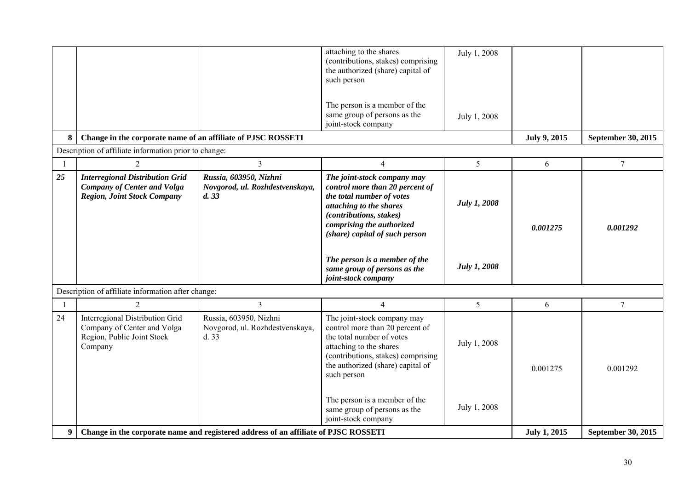|    |                                                                                                                    |                                                                                     | attaching to the shares<br>(contributions, stakes) comprising<br>the authorized (share) capital of<br>such person<br>The person is a member of the<br>same group of persons as the<br>joint-stock company                                         | July 1, 2008<br>July 1, 2008 |                     |                    |
|----|--------------------------------------------------------------------------------------------------------------------|-------------------------------------------------------------------------------------|---------------------------------------------------------------------------------------------------------------------------------------------------------------------------------------------------------------------------------------------------|------------------------------|---------------------|--------------------|
| 8  | Change in the corporate name of an affiliate of PJSC ROSSETI                                                       |                                                                                     |                                                                                                                                                                                                                                                   |                              | <b>July 9, 2015</b> | September 30, 2015 |
|    | Description of affiliate information prior to change:                                                              |                                                                                     |                                                                                                                                                                                                                                                   |                              |                     |                    |
|    | $\overline{2}$                                                                                                     | 3                                                                                   | $\overline{4}$                                                                                                                                                                                                                                    | 5 <sup>5</sup>               | 6                   | $\overline{7}$     |
| 25 | <b>Interregional Distribution Grid</b><br><b>Company of Center and Volga</b><br><b>Region, Joint Stock Company</b> | Russia, 603950, Nizhni<br>Novgorod, ul. Rozhdestvenskaya,<br>d.33                   | The joint-stock company may<br>control more than 20 percent of<br>the total number of votes<br>attaching to the shares<br>(contributions, stakes)<br>comprising the authorized<br>(share) capital of such person<br>The person is a member of the | <b>July 1, 2008</b>          | 0.001275            | 0.001292           |
|    |                                                                                                                    |                                                                                     | same group of persons as the<br>joint-stock company                                                                                                                                                                                               | <b>July 1, 2008</b>          |                     |                    |
|    | Description of affiliate information after change:                                                                 |                                                                                     |                                                                                                                                                                                                                                                   |                              |                     |                    |
|    | $\overline{2}$                                                                                                     | 3                                                                                   | $\overline{4}$                                                                                                                                                                                                                                    | 5                            | 6                   | $7\phantom{.0}$    |
| 24 | Interregional Distribution Grid<br>Company of Center and Volga<br>Region, Public Joint Stock<br>Company            | Russia, 603950, Nizhni<br>Novgorod, ul. Rozhdestvenskaya,<br>d. 33                  | The joint-stock company may<br>control more than 20 percent of<br>the total number of votes<br>attaching to the shares<br>(contributions, stakes) comprising<br>the authorized (share) capital of<br>such person                                  | July 1, 2008                 | 0.001275            | 0.001292           |
| 9  |                                                                                                                    | Change in the corporate name and registered address of an affiliate of PJSC ROSSETI | The person is a member of the<br>same group of persons as the<br>joint-stock company                                                                                                                                                              | July 1, 2008                 | <b>July 1, 2015</b> | September 30, 2015 |
|    |                                                                                                                    |                                                                                     |                                                                                                                                                                                                                                                   |                              |                     |                    |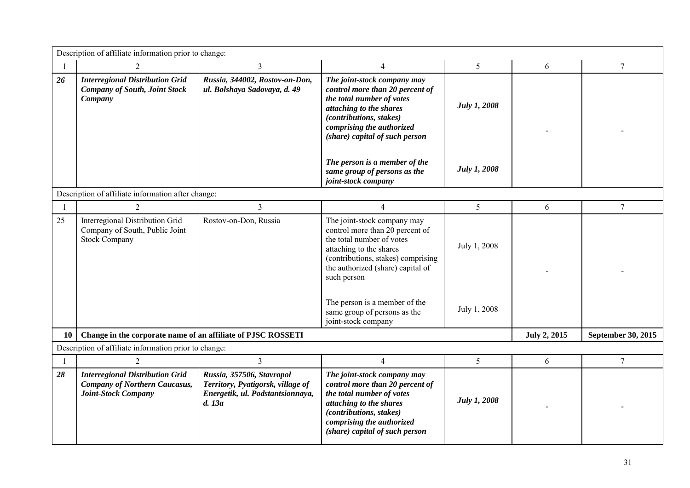|    | Description of affiliate information prior to change:                                                        |                                                                                                              |                                                                                                                                                                                                                                                                                                          |                              |                     |                    |  |
|----|--------------------------------------------------------------------------------------------------------------|--------------------------------------------------------------------------------------------------------------|----------------------------------------------------------------------------------------------------------------------------------------------------------------------------------------------------------------------------------------------------------------------------------------------------------|------------------------------|---------------------|--------------------|--|
|    | $\overline{2}$                                                                                               | 3                                                                                                            | $\overline{4}$                                                                                                                                                                                                                                                                                           | 5                            | 6                   | 7                  |  |
| 26 | <b>Interregional Distribution Grid</b><br><b>Company of South, Joint Stock</b><br>Company                    | Russia, 344002, Rostov-on-Don,<br>ul. Bolshaya Sadovaya, d. 49                                               | The joint-stock company may<br>control more than 20 percent of<br>the total number of votes<br>attaching to the shares<br>(contributions, stakes)<br>comprising the authorized<br>(share) capital of such person                                                                                         | July 1, 2008                 |                     |                    |  |
|    |                                                                                                              |                                                                                                              | The person is a member of the<br>same group of persons as the<br>joint-stock company                                                                                                                                                                                                                     | July 1, 2008                 |                     |                    |  |
|    | Description of affiliate information after change:                                                           |                                                                                                              |                                                                                                                                                                                                                                                                                                          |                              |                     |                    |  |
|    | 2                                                                                                            | $\overline{3}$                                                                                               | $\overline{4}$                                                                                                                                                                                                                                                                                           | 5                            | 6                   | $\overline{7}$     |  |
| 25 | Interregional Distribution Grid<br>Company of South, Public Joint<br><b>Stock Company</b>                    | Rostov-on-Don, Russia                                                                                        | The joint-stock company may<br>control more than 20 percent of<br>the total number of votes<br>attaching to the shares<br>(contributions, stakes) comprising<br>the authorized (share) capital of<br>such person<br>The person is a member of the<br>same group of persons as the<br>joint-stock company | July 1, 2008<br>July 1, 2008 |                     |                    |  |
| 10 | Change in the corporate name of an affiliate of PJSC ROSSETI                                                 |                                                                                                              |                                                                                                                                                                                                                                                                                                          |                              | <b>July 2, 2015</b> | September 30, 2015 |  |
|    | Description of affiliate information prior to change:                                                        |                                                                                                              |                                                                                                                                                                                                                                                                                                          |                              |                     |                    |  |
|    | 2                                                                                                            | $\overline{3}$                                                                                               | $\overline{4}$                                                                                                                                                                                                                                                                                           | 5                            | 6                   | $\overline{7}$     |  |
| 28 | <b>Interregional Distribution Grid</b><br><b>Company of Northern Caucasus,</b><br><b>Joint-Stock Company</b> | Russia, 357506, Stavropol<br>Territory, Pyatigorsk, village of<br>Energetik, ul. Podstantsionnaya,<br>d. 13a | The joint-stock company may<br>control more than 20 percent of<br>the total number of votes<br>attaching to the shares<br>(contributions, stakes)<br>comprising the authorized<br>(share) capital of such person                                                                                         | July 1, 2008                 |                     |                    |  |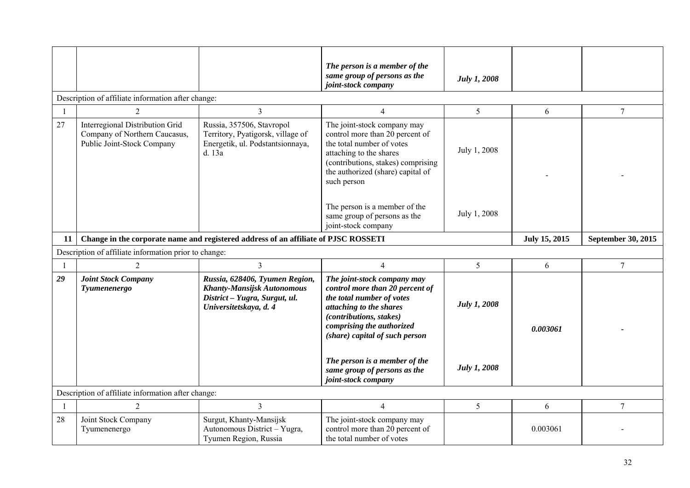|                |                                                                                                |                                                                                                                                | The person is a member of the<br>same group of persons as the<br>joint-stock company                                                                                                                             | <b>July 1, 2008</b> |          |                 |  |  |  |
|----------------|------------------------------------------------------------------------------------------------|--------------------------------------------------------------------------------------------------------------------------------|------------------------------------------------------------------------------------------------------------------------------------------------------------------------------------------------------------------|---------------------|----------|-----------------|--|--|--|
|                | Description of affiliate information after change:                                             |                                                                                                                                |                                                                                                                                                                                                                  |                     |          |                 |  |  |  |
| $\overline{1}$ | $\overline{2}$                                                                                 | $\overline{3}$                                                                                                                 | $\overline{4}$                                                                                                                                                                                                   | 5                   | 6        | $\overline{7}$  |  |  |  |
| 27             | Interregional Distribution Grid<br>Company of Northern Caucasus,<br>Public Joint-Stock Company | Russia, 357506, Stavropol<br>Territory, Pyatigorsk, village of<br>Energetik, ul. Podstantsionnaya,<br>d. 13a                   | The joint-stock company may<br>control more than 20 percent of<br>the total number of votes<br>attaching to the shares<br>(contributions, stakes) comprising<br>the authorized (share) capital of<br>such person | July 1, 2008        |          |                 |  |  |  |
|                |                                                                                                |                                                                                                                                | The person is a member of the<br>same group of persons as the<br>joint-stock company                                                                                                                             | July 1, 2008        |          |                 |  |  |  |
| 11             | Change in the corporate name and registered address of an affiliate of PJSC ROSSETI            | July 15, 2015                                                                                                                  | <b>September 30, 2015</b>                                                                                                                                                                                        |                     |          |                 |  |  |  |
|                | Description of affiliate information prior to change:                                          |                                                                                                                                |                                                                                                                                                                                                                  |                     |          |                 |  |  |  |
| $\overline{1}$ | $\overline{2}$                                                                                 | $\overline{3}$                                                                                                                 | $\overline{4}$                                                                                                                                                                                                   | 5                   | 6        | $7\phantom{.0}$ |  |  |  |
| 29             | <b>Joint Stock Company</b><br>Tyumenenergo                                                     | Russia, 628406, Tyumen Region,<br><b>Khanty-Mansijsk Autonomous</b><br>District - Yugra, Surgut, ul.<br>Universitetskaya, d. 4 | The joint-stock company may<br>control more than 20 percent of<br>the total number of votes<br>attaching to the shares<br>(contributions, stakes)<br>comprising the authorized<br>(share) capital of such person | <b>July 1, 2008</b> | 0.003061 |                 |  |  |  |
|                |                                                                                                |                                                                                                                                | The person is a member of the<br>same group of persons as the<br>joint-stock company                                                                                                                             | July 1, 2008        |          |                 |  |  |  |
|                | Description of affiliate information after change:                                             |                                                                                                                                |                                                                                                                                                                                                                  |                     |          |                 |  |  |  |
| $\mathbf{1}$   | $\overline{2}$                                                                                 | $\overline{3}$                                                                                                                 | $\overline{4}$                                                                                                                                                                                                   | 5                   | 6        | $7\overline{ }$ |  |  |  |
| 28             | Joint Stock Company<br>Tyumenenergo                                                            | Surgut, Khanty-Mansijsk<br>Autonomous District - Yugra,<br>Tyumen Region, Russia                                               | The joint-stock company may<br>control more than 20 percent of<br>the total number of votes                                                                                                                      |                     | 0.003061 |                 |  |  |  |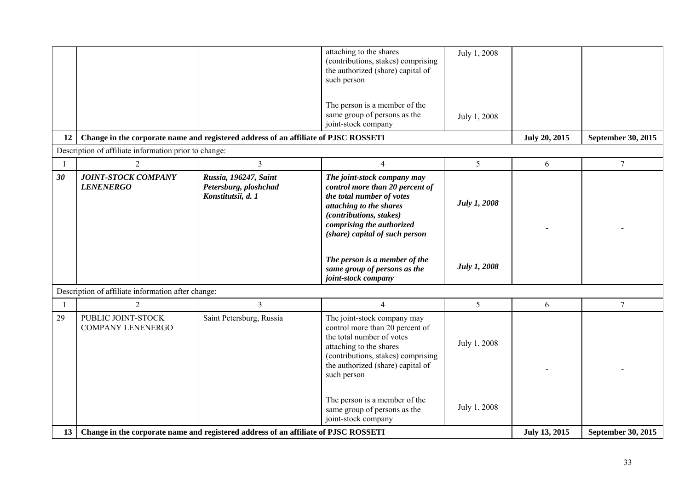|                |                                                       |                                                                                     | attaching to the shares<br>(contributions, stakes) comprising<br>the authorized (share) capital of<br>such person<br>The person is a member of the                                                               | July 1, 2008        |                      |                    |
|----------------|-------------------------------------------------------|-------------------------------------------------------------------------------------|------------------------------------------------------------------------------------------------------------------------------------------------------------------------------------------------------------------|---------------------|----------------------|--------------------|
|                |                                                       |                                                                                     | same group of persons as the<br>joint-stock company                                                                                                                                                              | July 1, 2008        |                      |                    |
| 12             |                                                       | Change in the corporate name and registered address of an affiliate of PJSC ROSSETI |                                                                                                                                                                                                                  |                     | <b>July 20, 2015</b> | September 30, 2015 |
|                | Description of affiliate information prior to change: |                                                                                     |                                                                                                                                                                                                                  |                     |                      |                    |
| $\overline{1}$ | $\overline{2}$                                        | $\overline{3}$                                                                      | $\overline{4}$                                                                                                                                                                                                   | 5 <sup>5</sup>      | 6                    | $\overline{7}$     |
| 30             | <b>JOINT-STOCK COMPANY</b><br><b>LENENERGO</b>        | Russia, 196247, Saint<br>Petersburg, ploshchad<br>Konstitutsii, d. 1                | The joint-stock company may<br>control more than 20 percent of<br>the total number of votes<br>attaching to the shares<br>(contributions, stakes)<br>comprising the authorized<br>(share) capital of such person | <b>July 1, 2008</b> |                      |                    |
|                |                                                       |                                                                                     | The person is a member of the<br>same group of persons as the<br>joint-stock company                                                                                                                             | <b>July 1, 2008</b> |                      |                    |
|                | Description of affiliate information after change:    |                                                                                     |                                                                                                                                                                                                                  |                     |                      |                    |
| -1             | $\overline{2}$                                        | $\overline{3}$                                                                      | $\overline{4}$                                                                                                                                                                                                   | 5                   | 6                    | $\overline{7}$     |
| 29             | PUBLIC JOINT-STOCK<br><b>COMPANY LENENERGO</b>        | Saint Petersburg, Russia                                                            | The joint-stock company may<br>control more than 20 percent of<br>the total number of votes<br>attaching to the shares<br>(contributions, stakes) comprising<br>the authorized (share) capital of<br>such person | July 1, 2008        |                      |                    |
| 13             |                                                       | Change in the corporate name and registered address of an affiliate of PJSC ROSSETI | The person is a member of the<br>same group of persons as the<br>joint-stock company                                                                                                                             | July 1, 2008        | <b>July 13, 2015</b> | September 30, 2015 |
|                |                                                       |                                                                                     |                                                                                                                                                                                                                  |                     |                      |                    |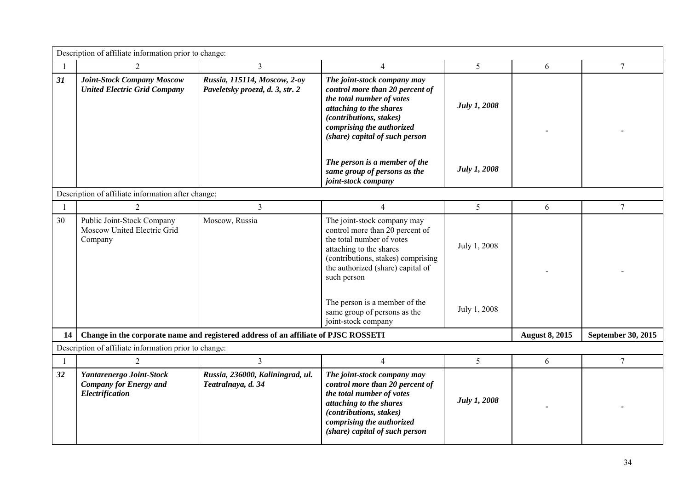|                | Description of affiliate information prior to change:                        |                                                                                     |                                                                                                                                                                                                                                                                                                          |                              |                       |                    |  |  |
|----------------|------------------------------------------------------------------------------|-------------------------------------------------------------------------------------|----------------------------------------------------------------------------------------------------------------------------------------------------------------------------------------------------------------------------------------------------------------------------------------------------------|------------------------------|-----------------------|--------------------|--|--|
| $\overline{1}$ | $\overline{2}$                                                               | $\overline{3}$                                                                      | 4                                                                                                                                                                                                                                                                                                        | 5                            | 6                     | $\tau$             |  |  |
| 31             | <b>Joint-Stock Company Moscow</b><br><b>United Electric Grid Company</b>     | Russia, 115114, Moscow, 2-oy<br>Paveletsky proezd, d. 3, str. 2                     | The joint-stock company may<br>control more than 20 percent of<br>the total number of votes<br>attaching to the shares<br>(contributions, stakes)<br>comprising the authorized<br>(share) capital of such person                                                                                         | <b>July 1, 2008</b>          |                       |                    |  |  |
|                |                                                                              |                                                                                     | The person is a member of the<br>same group of persons as the<br>joint-stock company                                                                                                                                                                                                                     | <b>July 1, 2008</b>          |                       |                    |  |  |
|                | Description of affiliate information after change:                           |                                                                                     |                                                                                                                                                                                                                                                                                                          |                              |                       |                    |  |  |
| $\overline{1}$ | $\overline{2}$                                                               | $\overline{3}$                                                                      | $\overline{4}$                                                                                                                                                                                                                                                                                           | 5                            | 6                     | $\overline{7}$     |  |  |
| 30             | Public Joint-Stock Company<br>Moscow United Electric Grid<br>Company         | Moscow, Russia                                                                      | The joint-stock company may<br>control more than 20 percent of<br>the total number of votes<br>attaching to the shares<br>(contributions, stakes) comprising<br>the authorized (share) capital of<br>such person<br>The person is a member of the<br>same group of persons as the<br>joint-stock company | July 1, 2008<br>July 1, 2008 |                       |                    |  |  |
| 14             |                                                                              | Change in the corporate name and registered address of an affiliate of PJSC ROSSETI |                                                                                                                                                                                                                                                                                                          |                              | <b>August 8, 2015</b> | September 30, 2015 |  |  |
|                | Description of affiliate information prior to change:                        |                                                                                     |                                                                                                                                                                                                                                                                                                          |                              |                       |                    |  |  |
| $\mathbf{1}$   | $\overline{2}$                                                               | $\overline{3}$                                                                      | $\overline{4}$                                                                                                                                                                                                                                                                                           | 5                            | 6                     | $\tau$             |  |  |
| 32             | Yantarenergo Joint-Stock<br><b>Company for Energy and</b><br>Electrification | Russia, 236000, Kaliningrad, ul.<br>Teatralnaya, d. 34                              | The joint-stock company may<br>control more than 20 percent of<br>the total number of votes<br>attaching to the shares<br>(contributions, stakes)<br>comprising the authorized<br>(share) capital of such person                                                                                         | <b>July 1, 2008</b>          |                       |                    |  |  |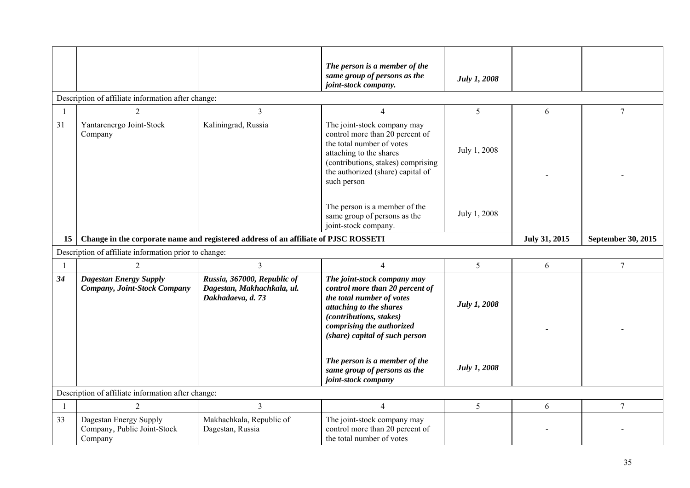|              |                                                                  |                                                                                     | The person is a member of the<br>same group of persons as the<br>joint-stock company.                                                                                                                            | <b>July 1, 2008</b> |               |                           |
|--------------|------------------------------------------------------------------|-------------------------------------------------------------------------------------|------------------------------------------------------------------------------------------------------------------------------------------------------------------------------------------------------------------|---------------------|---------------|---------------------------|
|              | Description of affiliate information after change:               |                                                                                     |                                                                                                                                                                                                                  |                     |               |                           |
| $\mathbf{1}$ | $\overline{2}$                                                   | $\mathfrak{Z}$                                                                      | $\overline{4}$                                                                                                                                                                                                   | 5                   | 6             | $\overline{7}$            |
| 31           | Yantarenergo Joint-Stock<br>Company                              | Kaliningrad, Russia                                                                 | The joint-stock company may<br>control more than 20 percent of<br>the total number of votes<br>attaching to the shares<br>(contributions, stakes) comprising<br>the authorized (share) capital of<br>such person | July 1, 2008        |               |                           |
|              |                                                                  |                                                                                     | The person is a member of the<br>same group of persons as the<br>joint-stock company.                                                                                                                            | July 1, 2008        |               |                           |
| 15           |                                                                  | Change in the corporate name and registered address of an affiliate of PJSC ROSSETI |                                                                                                                                                                                                                  |                     | July 31, 2015 | <b>September 30, 2015</b> |
|              | Description of affiliate information prior to change:            |                                                                                     |                                                                                                                                                                                                                  |                     |               |                           |
|              | $\overline{2}$                                                   | $\overline{3}$                                                                      | $\overline{4}$                                                                                                                                                                                                   | 5                   | 6             | $\tau$                    |
| 34           | <b>Dagestan Energy Supply</b><br>Company, Joint-Stock Company    | Russia, 367000, Republic of<br>Dagestan, Makhachkala, ul.<br>Dakhadaeva, d. 73      | The joint-stock company may<br>control more than 20 percent of<br>the total number of votes<br>attaching to the shares<br>(contributions, stakes)<br>comprising the authorized<br>(share) capital of such person | <b>July 1, 2008</b> |               |                           |
|              |                                                                  |                                                                                     | The person is a member of the<br>same group of persons as the<br>joint-stock company                                                                                                                             | <b>July 1, 2008</b> |               |                           |
|              | Description of affiliate information after change:               |                                                                                     |                                                                                                                                                                                                                  |                     |               |                           |
|              | $\overline{2}$                                                   | $\overline{3}$                                                                      | $\overline{4}$                                                                                                                                                                                                   | 5                   | 6             | $7\overline{ }$           |
| 33           | Dagestan Energy Supply<br>Company, Public Joint-Stock<br>Company | Makhachkala, Republic of<br>Dagestan, Russia                                        | The joint-stock company may<br>control more than 20 percent of<br>the total number of votes                                                                                                                      |                     |               |                           |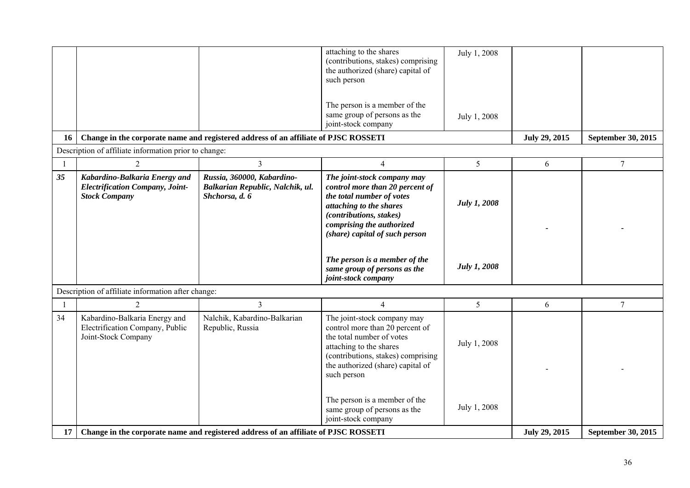|                |                                                                                                                                              |                                                                                     | attaching to the shares<br>(contributions, stakes) comprising<br>the authorized (share) capital of<br>such person<br>The person is a member of the<br>same group of persons as the<br>joint-stock company                                                                                                | July 1, 2008<br>July 1, 2008               |                      |                    |
|----------------|----------------------------------------------------------------------------------------------------------------------------------------------|-------------------------------------------------------------------------------------|----------------------------------------------------------------------------------------------------------------------------------------------------------------------------------------------------------------------------------------------------------------------------------------------------------|--------------------------------------------|----------------------|--------------------|
| 16             | Change in the corporate name and registered address of an affiliate of PJSC ROSSETI<br>Description of affiliate information prior to change: |                                                                                     | <b>July 29, 2015</b>                                                                                                                                                                                                                                                                                     | September 30, 2015                         |                      |                    |
| $\overline{1}$ | $\overline{2}$                                                                                                                               | 3                                                                                   | $\overline{4}$                                                                                                                                                                                                                                                                                           | 5 <sup>5</sup>                             | 6                    | $\overline{7}$     |
| 35             | Kabardino-Balkaria Energy and<br><b>Electrification Company, Joint-</b><br><b>Stock Company</b>                                              | Russia, 360000, Kabardino-<br>Balkarian Republic, Nalchik, ul.<br>Shchorsa, d. 6    | The joint-stock company may<br>control more than 20 percent of<br>the total number of votes<br>attaching to the shares<br>(contributions, stakes)<br>comprising the authorized<br>(share) capital of such person<br>The person is a member of the<br>same group of persons as the<br>joint-stock company | <b>July 1, 2008</b><br><b>July 1, 2008</b> |                      |                    |
|                | Description of affiliate information after change:                                                                                           |                                                                                     |                                                                                                                                                                                                                                                                                                          |                                            |                      |                    |
| $\overline{1}$ | $\overline{2}$                                                                                                                               | 3                                                                                   | $\overline{4}$                                                                                                                                                                                                                                                                                           | 5                                          | $\sqrt{6}$           | $\overline{7}$     |
| 34             | Kabardino-Balkaria Energy and<br>Electrification Company, Public<br>Joint-Stock Company                                                      | Nalchik, Kabardino-Balkarian<br>Republic, Russia                                    | The joint-stock company may<br>control more than 20 percent of<br>the total number of votes<br>attaching to the shares<br>(contributions, stakes) comprising<br>the authorized (share) capital of<br>such person                                                                                         | July 1, 2008                               |                      |                    |
| 17             |                                                                                                                                              | Change in the corporate name and registered address of an affiliate of PJSC ROSSETI | The person is a member of the<br>same group of persons as the<br>joint-stock company                                                                                                                                                                                                                     | July 1, 2008                               | <b>July 29, 2015</b> | September 30, 2015 |
|                |                                                                                                                                              |                                                                                     |                                                                                                                                                                                                                                                                                                          |                                            |                      |                    |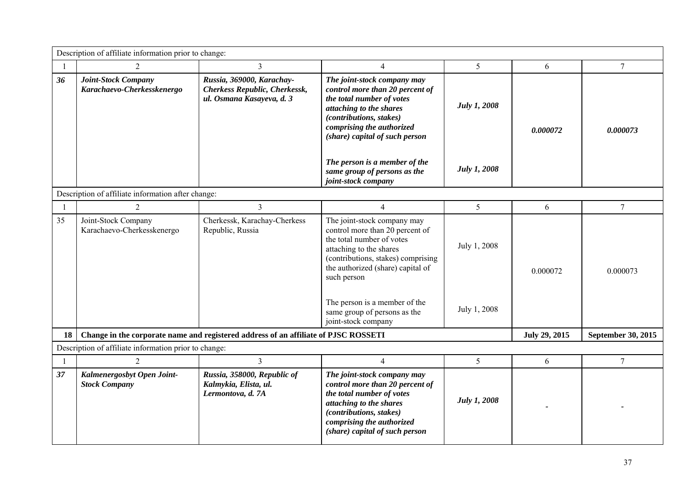|                | Description of affiliate information prior to change:    |                                                                                                |                                                                                                                                                                                                                                                                                                          |                              |                      |                           |  |  |
|----------------|----------------------------------------------------------|------------------------------------------------------------------------------------------------|----------------------------------------------------------------------------------------------------------------------------------------------------------------------------------------------------------------------------------------------------------------------------------------------------------|------------------------------|----------------------|---------------------------|--|--|
| $\overline{1}$ | $\overline{2}$                                           | $\overline{3}$                                                                                 | $\overline{4}$                                                                                                                                                                                                                                                                                           | 5                            | 6                    | 7                         |  |  |
| 36             | <b>Joint-Stock Company</b><br>Karachaevo-Cherkesskenergo | Russia, 369000, Karachay-<br><b>Cherkess Republic, Cherkessk,</b><br>ul. Osmana Kasayeva, d. 3 | The joint-stock company may<br>control more than 20 percent of<br>the total number of votes<br>attaching to the shares<br>(contributions, stakes)<br>comprising the authorized<br>(share) capital of such person                                                                                         | <b>July 1, 2008</b>          | 0.000072             | 0.000073                  |  |  |
|                |                                                          |                                                                                                | The person is a member of the<br>same group of persons as the<br>joint-stock company                                                                                                                                                                                                                     | July 1, 2008                 |                      |                           |  |  |
|                | Description of affiliate information after change:       |                                                                                                |                                                                                                                                                                                                                                                                                                          |                              |                      |                           |  |  |
| -1             | $\overline{2}$                                           | $\overline{3}$                                                                                 | $\overline{4}$                                                                                                                                                                                                                                                                                           | 5 <sup>5</sup>               | 6                    | $\overline{7}$            |  |  |
| 35             | Joint-Stock Company<br>Karachaevo-Cherkesskenergo        | Cherkessk, Karachay-Cherkess<br>Republic, Russia                                               | The joint-stock company may<br>control more than 20 percent of<br>the total number of votes<br>attaching to the shares<br>(contributions, stakes) comprising<br>the authorized (share) capital of<br>such person<br>The person is a member of the<br>same group of persons as the<br>joint-stock company | July 1, 2008<br>July 1, 2008 | 0.000072             | 0.000073                  |  |  |
| 18             |                                                          | Change in the corporate name and registered address of an affiliate of PJSC ROSSETI            |                                                                                                                                                                                                                                                                                                          |                              | <b>July 29, 2015</b> | <b>September 30, 2015</b> |  |  |
|                | Description of affiliate information prior to change:    |                                                                                                |                                                                                                                                                                                                                                                                                                          |                              |                      |                           |  |  |
| $\mathbf{1}$   | 2                                                        | $\overline{3}$                                                                                 | $\overline{4}$                                                                                                                                                                                                                                                                                           | 5                            | 6                    | $\tau$                    |  |  |
| 37             | Kalmenergosbyt Open Joint-<br><b>Stock Company</b>       | Russia, 358000, Republic of<br>Kalmykia, Elista, ul.<br>Lermontova, d. 7A                      | The joint-stock company may<br>control more than 20 percent of<br>the total number of votes<br>attaching to the shares<br>(contributions, stakes)<br>comprising the authorized<br>(share) capital of such person                                                                                         | July 1, 2008                 |                      |                           |  |  |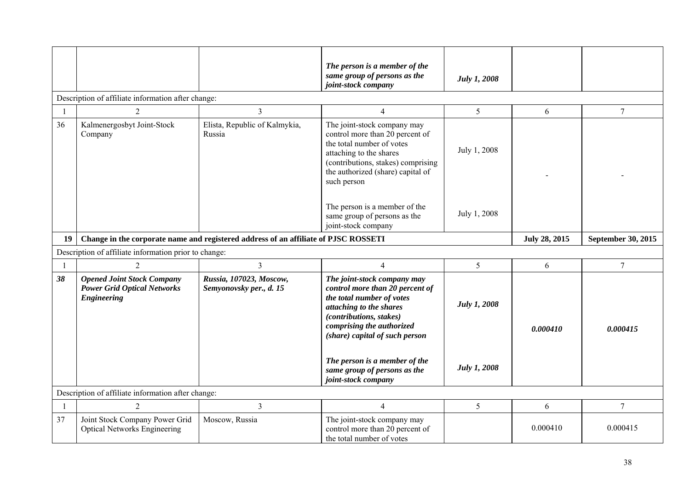|    |                                                                                               |                                                                                     | The person is a member of the<br>same group of persons as the<br>joint-stock company                                                                                                                                                                                              | <b>July 1, 2008</b>          |                      |                    |
|----|-----------------------------------------------------------------------------------------------|-------------------------------------------------------------------------------------|-----------------------------------------------------------------------------------------------------------------------------------------------------------------------------------------------------------------------------------------------------------------------------------|------------------------------|----------------------|--------------------|
|    | Description of affiliate information after change:                                            |                                                                                     |                                                                                                                                                                                                                                                                                   |                              |                      |                    |
| -1 | $\overline{2}$                                                                                | 3                                                                                   | $\overline{4}$                                                                                                                                                                                                                                                                    | $5\overline{)}$              | 6                    | $\boldsymbol{7}$   |
| 36 | Kalmenergosbyt Joint-Stock<br>Company                                                         | Elista, Republic of Kalmykia,<br>Russia                                             | The joint-stock company may<br>control more than 20 percent of<br>the total number of votes<br>attaching to the shares<br>(contributions, stakes) comprising<br>the authorized (share) capital of<br>such person<br>The person is a member of the<br>same group of persons as the | July 1, 2008<br>July 1, 2008 |                      |                    |
|    |                                                                                               |                                                                                     | joint-stock company                                                                                                                                                                                                                                                               |                              |                      |                    |
| 19 |                                                                                               | Change in the corporate name and registered address of an affiliate of PJSC ROSSETI |                                                                                                                                                                                                                                                                                   |                              | <b>July 28, 2015</b> | September 30, 2015 |
|    | Description of affiliate information prior to change:                                         |                                                                                     |                                                                                                                                                                                                                                                                                   |                              |                      |                    |
|    | $\overline{2}$                                                                                | $\overline{3}$                                                                      | $\overline{4}$                                                                                                                                                                                                                                                                    | $5\overline{)}$              | 6                    | $\overline{7}$     |
| 38 | <b>Opened Joint Stock Company</b><br><b>Power Grid Optical Networks</b><br><b>Engineering</b> | Russia, 107023, Moscow,<br>Semyonovsky per., d. 15                                  | The joint-stock company may<br>control more than 20 percent of<br>the total number of votes<br>attaching to the shares<br>(contributions, stakes)<br>comprising the authorized<br>(share) capital of such person                                                                  | <b>July 1, 2008</b>          | 0.000410             | 0.000415           |
|    |                                                                                               |                                                                                     | The person is a member of the<br>same group of persons as the<br>joint-stock company                                                                                                                                                                                              | <b>July 1, 2008</b>          |                      |                    |
|    | Description of affiliate information after change:                                            |                                                                                     |                                                                                                                                                                                                                                                                                   |                              |                      |                    |
| -1 | $\overline{2}$                                                                                | 3                                                                                   | $\overline{4}$                                                                                                                                                                                                                                                                    | 5                            | 6                    | $\overline{7}$     |
| 37 | Joint Stock Company Power Grid<br><b>Optical Networks Engineering</b>                         | Moscow, Russia                                                                      | The joint-stock company may<br>control more than 20 percent of<br>the total number of votes                                                                                                                                                                                       |                              | 0.000410             | 0.000415           |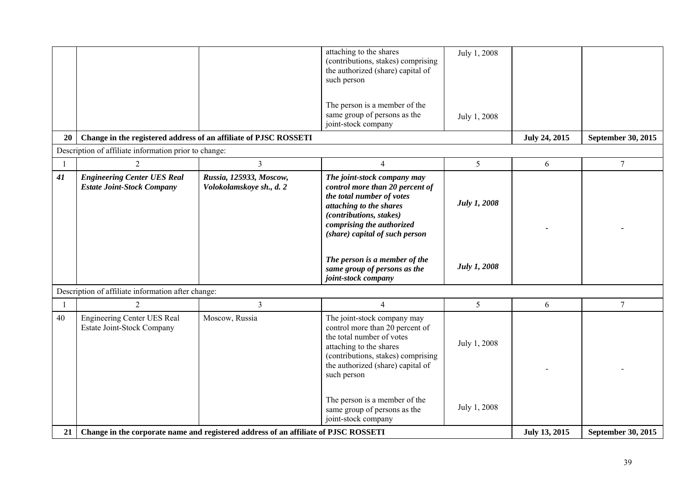|                |                                                                         |                                                                                     | attaching to the shares<br>(contributions, stakes) comprising<br>the authorized (share) capital of<br>such person<br>The person is a member of the<br>same group of persons as the<br>joint-stock company                                                                                                | July 1, 2008<br>July 1, 2008               |                      |                    |
|----------------|-------------------------------------------------------------------------|-------------------------------------------------------------------------------------|----------------------------------------------------------------------------------------------------------------------------------------------------------------------------------------------------------------------------------------------------------------------------------------------------------|--------------------------------------------|----------------------|--------------------|
| 20             | Change in the registered address of an affiliate of PJSC ROSSETI        |                                                                                     |                                                                                                                                                                                                                                                                                                          |                                            | <b>July 24, 2015</b> | September 30, 2015 |
|                | Description of affiliate information prior to change:                   |                                                                                     |                                                                                                                                                                                                                                                                                                          |                                            |                      |                    |
| $\overline{1}$ | $\overline{2}$                                                          | 3                                                                                   | $\overline{4}$                                                                                                                                                                                                                                                                                           | 5 <sup>5</sup>                             | 6                    | $\overline{7}$     |
| 41             | <b>Engineering Center UES Real</b><br><b>Estate Joint-Stock Company</b> | Russia, 125933, Moscow,<br>Volokolamskoye sh., d. 2                                 | The joint-stock company may<br>control more than 20 percent of<br>the total number of votes<br>attaching to the shares<br>(contributions, stakes)<br>comprising the authorized<br>(share) capital of such person<br>The person is a member of the<br>same group of persons as the<br>joint-stock company | <b>July 1, 2008</b><br><b>July 1, 2008</b> |                      |                    |
|                | Description of affiliate information after change:                      |                                                                                     |                                                                                                                                                                                                                                                                                                          |                                            |                      |                    |
| $\overline{1}$ | $\overline{2}$                                                          | 3                                                                                   | $\overline{4}$                                                                                                                                                                                                                                                                                           | 5                                          | 6                    | $\overline{7}$     |
| 40             | <b>Engineering Center UES Real</b><br><b>Estate Joint-Stock Company</b> | Moscow, Russia                                                                      | The joint-stock company may<br>control more than 20 percent of<br>the total number of votes<br>attaching to the shares<br>(contributions, stakes) comprising<br>the authorized (share) capital of<br>such person                                                                                         | July 1, 2008                               |                      |                    |
| 21             |                                                                         | Change in the corporate name and registered address of an affiliate of PJSC ROSSETI | The person is a member of the<br>same group of persons as the<br>joint-stock company                                                                                                                                                                                                                     | July 1, 2008                               | July 13, 2015        | September 30, 2015 |
|                |                                                                         |                                                                                     |                                                                                                                                                                                                                                                                                                          |                                            |                      |                    |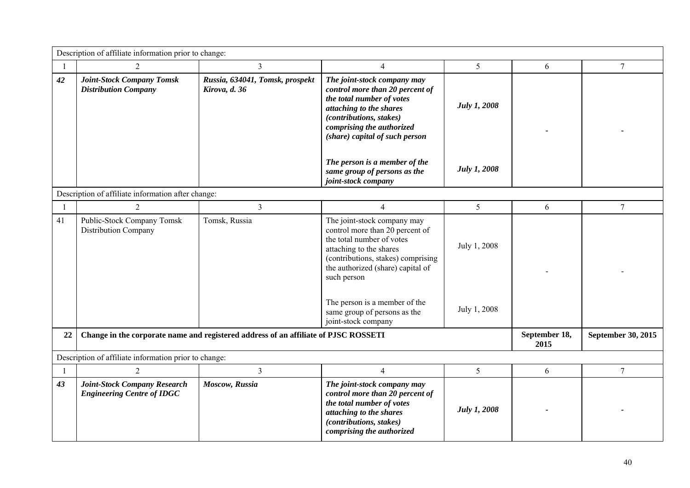|    | Description of affiliate information prior to change:                    |                                                                                     |                                                                                                                                                                                                                                                                                   |                              |                       |                    |  |  |
|----|--------------------------------------------------------------------------|-------------------------------------------------------------------------------------|-----------------------------------------------------------------------------------------------------------------------------------------------------------------------------------------------------------------------------------------------------------------------------------|------------------------------|-----------------------|--------------------|--|--|
| -1 | $\overline{2}$                                                           | $\mathfrak{Z}$                                                                      | $\overline{4}$                                                                                                                                                                                                                                                                    | 5                            | 6                     | 7                  |  |  |
| 42 | <b>Joint-Stock Company Tomsk</b><br><b>Distribution Company</b>          | Russia, 634041, Tomsk, prospekt<br>Kirova, d. 36                                    | The joint-stock company may<br>control more than 20 percent of<br>the total number of votes<br>attaching to the shares<br>(contributions, stakes)<br>comprising the authorized<br>(share) capital of such person                                                                  | <b>July 1, 2008</b>          |                       |                    |  |  |
|    |                                                                          |                                                                                     | The person is a member of the<br>same group of persons as the<br>joint-stock company                                                                                                                                                                                              | <b>July 1, 2008</b>          |                       |                    |  |  |
|    | Description of affiliate information after change:                       |                                                                                     |                                                                                                                                                                                                                                                                                   |                              |                       |                    |  |  |
| -1 | $\overline{2}$                                                           | $\overline{3}$                                                                      | $\overline{4}$                                                                                                                                                                                                                                                                    | 5                            | 6                     | $\overline{7}$     |  |  |
| 41 | <b>Public-Stock Company Tomsk</b><br><b>Distribution Company</b>         | Tomsk, Russia                                                                       | The joint-stock company may<br>control more than 20 percent of<br>the total number of votes<br>attaching to the shares<br>(contributions, stakes) comprising<br>the authorized (share) capital of<br>such person<br>The person is a member of the<br>same group of persons as the | July 1, 2008<br>July 1, 2008 |                       |                    |  |  |
|    |                                                                          |                                                                                     | joint-stock company                                                                                                                                                                                                                                                               |                              |                       |                    |  |  |
| 22 |                                                                          | Change in the corporate name and registered address of an affiliate of PJSC ROSSETI |                                                                                                                                                                                                                                                                                   |                              | September 18,<br>2015 | September 30, 2015 |  |  |
|    | Description of affiliate information prior to change:                    |                                                                                     |                                                                                                                                                                                                                                                                                   |                              |                       |                    |  |  |
| -1 | $\overline{2}$                                                           | $\overline{3}$                                                                      | $\overline{4}$                                                                                                                                                                                                                                                                    | 5                            | 6                     | $\overline{7}$     |  |  |
| 43 | <b>Joint-Stock Company Research</b><br><b>Engineering Centre of IDGC</b> | Moscow, Russia                                                                      | The joint-stock company may<br>control more than 20 percent of<br>the total number of votes<br>attaching to the shares<br>(contributions, stakes)<br>comprising the authorized                                                                                                    | <b>July 1, 2008</b>          |                       |                    |  |  |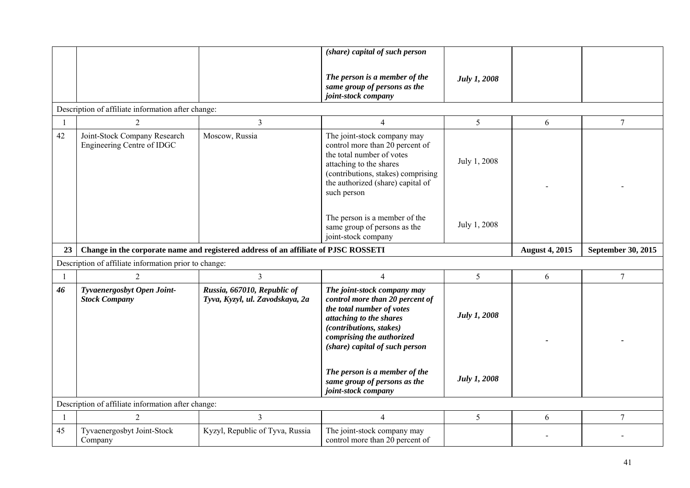|                |                                                            |                                                                                     | (share) capital of such person                                                                                                                                                                                   |                     |                       |                    |
|----------------|------------------------------------------------------------|-------------------------------------------------------------------------------------|------------------------------------------------------------------------------------------------------------------------------------------------------------------------------------------------------------------|---------------------|-----------------------|--------------------|
|                |                                                            |                                                                                     | The person is a member of the<br>same group of persons as the<br>joint-stock company                                                                                                                             | July 1, 2008        |                       |                    |
|                | Description of affiliate information after change:         |                                                                                     |                                                                                                                                                                                                                  |                     |                       |                    |
| $\overline{1}$ | 2                                                          | $\mathfrak{Z}$                                                                      | $\overline{4}$                                                                                                                                                                                                   | 5                   | 6                     | $\overline{7}$     |
| 42             | Joint-Stock Company Research<br>Engineering Centre of IDGC | Moscow, Russia                                                                      | The joint-stock company may<br>control more than 20 percent of<br>the total number of votes<br>attaching to the shares<br>(contributions, stakes) comprising<br>the authorized (share) capital of<br>such person | July 1, 2008        |                       |                    |
|                |                                                            |                                                                                     | The person is a member of the<br>same group of persons as the<br>joint-stock company                                                                                                                             | July 1, 2008        |                       |                    |
|                |                                                            |                                                                                     |                                                                                                                                                                                                                  |                     |                       |                    |
| 23             |                                                            | Change in the corporate name and registered address of an affiliate of PJSC ROSSETI |                                                                                                                                                                                                                  |                     | <b>August 4, 2015</b> | September 30, 2015 |
|                | Description of affiliate information prior to change:      |                                                                                     |                                                                                                                                                                                                                  |                     |                       |                    |
|                | $\overline{2}$                                             | $\overline{3}$                                                                      | $\overline{4}$                                                                                                                                                                                                   | 5                   | 6                     | $7\overline{ }$    |
| 46             | Tyvaenergosbyt Open Joint-<br><b>Stock Company</b>         | Russia, 667010, Republic of<br>Tyva, Kyzyl, ul. Zavodskaya, 2a                      | The joint-stock company may<br>control more than 20 percent of<br>the total number of votes<br>attaching to the shares<br>(contributions, stakes)<br>comprising the authorized<br>(share) capital of such person | <b>July 1, 2008</b> |                       |                    |
|                |                                                            |                                                                                     | The person is a member of the<br>same group of persons as the<br>joint-stock company                                                                                                                             | <b>July 1, 2008</b> |                       |                    |
|                | Description of affiliate information after change:         |                                                                                     |                                                                                                                                                                                                                  |                     |                       |                    |
| $\overline{1}$ | $\overline{2}$                                             | $\overline{3}$                                                                      | $\overline{4}$                                                                                                                                                                                                   | 5                   | 6                     | $\overline{7}$     |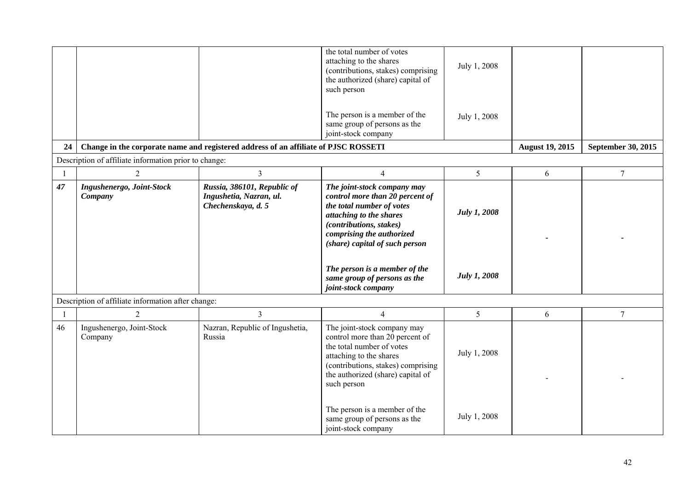|    |                                                       |                                                                                     | the total number of votes<br>attaching to the shares<br>(contributions, stakes) comprising<br>the authorized (share) capital of<br>such person                                                                                                                                                           | July 1, 2008                               |                        |                    |
|----|-------------------------------------------------------|-------------------------------------------------------------------------------------|----------------------------------------------------------------------------------------------------------------------------------------------------------------------------------------------------------------------------------------------------------------------------------------------------------|--------------------------------------------|------------------------|--------------------|
|    |                                                       |                                                                                     | The person is a member of the<br>same group of persons as the<br>joint-stock company                                                                                                                                                                                                                     | July 1, 2008                               |                        |                    |
| 24 |                                                       | Change in the corporate name and registered address of an affiliate of PJSC ROSSETI |                                                                                                                                                                                                                                                                                                          |                                            | <b>August 19, 2015</b> | September 30, 2015 |
|    | Description of affiliate information prior to change: |                                                                                     |                                                                                                                                                                                                                                                                                                          |                                            |                        |                    |
|    | $\overline{2}$                                        | 3                                                                                   | $\overline{4}$                                                                                                                                                                                                                                                                                           | $5\overline{)}$                            | 6                      | $\overline{7}$     |
| 47 | Ingushenergo, Joint-Stock<br>Company                  | Russia, 386101, Republic of<br>Ingushetia, Nazran, ul.<br>Chechenskaya, d. 5        | The joint-stock company may<br>control more than 20 percent of<br>the total number of votes<br>attaching to the shares<br>(contributions, stakes)<br>comprising the authorized<br>(share) capital of such person<br>The person is a member of the<br>same group of persons as the<br>joint-stock company | <b>July 1, 2008</b><br><b>July 1, 2008</b> |                        |                    |
|    | Description of affiliate information after change:    |                                                                                     |                                                                                                                                                                                                                                                                                                          |                                            |                        |                    |
|    | $\overline{2}$                                        | 3                                                                                   | $\overline{4}$                                                                                                                                                                                                                                                                                           | 5                                          | 6                      | $\overline{7}$     |
| 46 | Ingushenergo, Joint-Stock<br>Company                  | Nazran, Republic of Ingushetia,<br>Russia                                           | The joint-stock company may<br>control more than 20 percent of<br>the total number of votes<br>attaching to the shares<br>(contributions, stakes) comprising<br>the authorized (share) capital of<br>such person<br>The person is a member of the                                                        | July 1, 2008<br>July 1, 2008               |                        |                    |
|    |                                                       |                                                                                     | same group of persons as the<br>joint-stock company                                                                                                                                                                                                                                                      |                                            |                        |                    |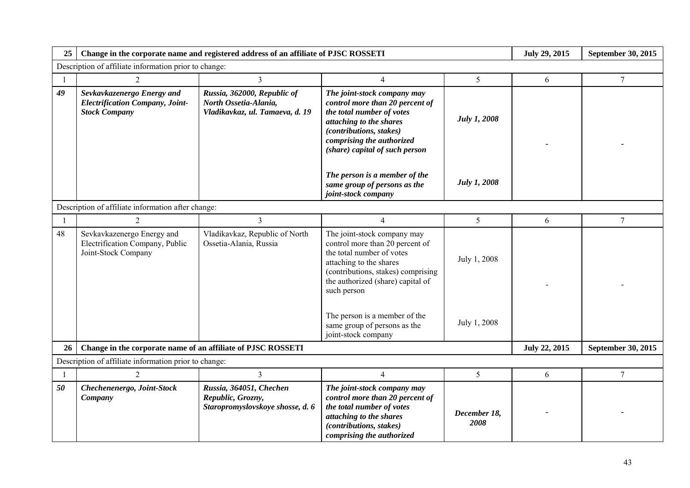| 25             |                                                                                              |                                                                                         | Change in the corporate name and registered address of an affiliate of PJSC ROSSETI                                                                                                                              |                      |                      |                    |  |
|----------------|----------------------------------------------------------------------------------------------|-----------------------------------------------------------------------------------------|------------------------------------------------------------------------------------------------------------------------------------------------------------------------------------------------------------------|----------------------|----------------------|--------------------|--|
|                | Description of affiliate information prior to change:                                        |                                                                                         |                                                                                                                                                                                                                  |                      |                      |                    |  |
|                | 2                                                                                            | $\overline{3}$                                                                          | $\overline{4}$                                                                                                                                                                                                   | 5                    | 6                    | $\overline{7}$     |  |
| 49             | Sevkavkazenergo Energy and<br><b>Electrification Company, Joint-</b><br><b>Stock Company</b> | Russia, 362000, Republic of<br>North Ossetia-Alania,<br>Vladikavkaz, ul. Tamaeva, d. 19 | The joint-stock company may<br>control more than 20 percent of<br>the total number of votes<br>attaching to the shares<br>(contributions, stakes)<br>comprising the authorized<br>(share) capital of such person | <b>July 1, 2008</b>  |                      |                    |  |
|                |                                                                                              |                                                                                         | The person is a member of the<br>same group of persons as the<br>joint-stock company                                                                                                                             | <b>July 1, 2008</b>  |                      |                    |  |
|                | Description of affiliate information after change:                                           |                                                                                         |                                                                                                                                                                                                                  |                      |                      |                    |  |
| $\overline{1}$ | 2                                                                                            | $\overline{3}$                                                                          | $\overline{4}$                                                                                                                                                                                                   | 5                    | 6                    | $\overline{7}$     |  |
| 48             | Sevkavkazenergo Energy and<br>Electrification Company, Public<br>Joint-Stock Company         | Vladikavkaz, Republic of North<br>Ossetia-Alania, Russia                                | The joint-stock company may<br>control more than 20 percent of<br>the total number of votes<br>attaching to the shares<br>(contributions, stakes) comprising<br>the authorized (share) capital of<br>such person | July 1, 2008         |                      |                    |  |
|                |                                                                                              |                                                                                         | The person is a member of the<br>same group of persons as the<br>joint-stock company                                                                                                                             | July 1, 2008         |                      |                    |  |
| 26             | Change in the corporate name of an affiliate of PJSC ROSSETI                                 |                                                                                         |                                                                                                                                                                                                                  |                      | <b>July 22, 2015</b> | September 30, 2015 |  |
|                | Description of affiliate information prior to change:                                        |                                                                                         |                                                                                                                                                                                                                  |                      |                      |                    |  |
| $\mathbf{1}$   | $\overline{2}$                                                                               | $\overline{3}$                                                                          | $\overline{4}$                                                                                                                                                                                                   | 5                    | 6                    | $\overline{7}$     |  |
| 50             | Chechenenergo, Joint-Stock<br>Company                                                        | Russia, 364051, Chechen<br>Republic, Grozny,<br>Staropromyslovskoye shosse, d. 6        | The joint-stock company may<br>control more than 20 percent of<br>the total number of votes<br>attaching to the shares<br>(contributions, stakes)<br>comprising the authorized                                   | December 18,<br>2008 |                      |                    |  |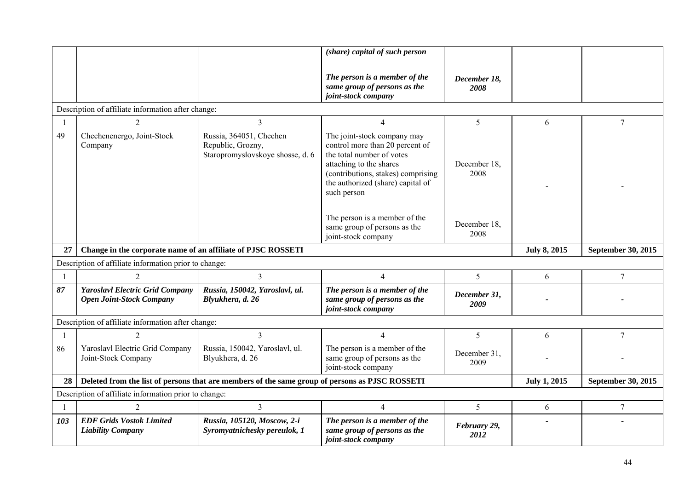|                |                                                                           |                                                                                                | (share) capital of such person                                                                                                                                                                                   |                      |                     |                    |  |  |  |
|----------------|---------------------------------------------------------------------------|------------------------------------------------------------------------------------------------|------------------------------------------------------------------------------------------------------------------------------------------------------------------------------------------------------------------|----------------------|---------------------|--------------------|--|--|--|
|                |                                                                           |                                                                                                | The person is a member of the<br>same group of persons as the<br>joint-stock company                                                                                                                             | December 18,<br>2008 |                     |                    |  |  |  |
|                | Description of affiliate information after change:                        |                                                                                                |                                                                                                                                                                                                                  |                      |                     |                    |  |  |  |
| -1             | 2                                                                         | $\overline{3}$                                                                                 | $\overline{4}$                                                                                                                                                                                                   | 5                    | 6                   | $\overline{7}$     |  |  |  |
| 49             | Chechenenergo, Joint-Stock<br>Company                                     | Russia, 364051, Chechen<br>Republic, Grozny,<br>Staropromyslovskoye shosse, d. 6               | The joint-stock company may<br>control more than 20 percent of<br>the total number of votes<br>attaching to the shares<br>(contributions, stakes) comprising<br>the authorized (share) capital of<br>such person | December 18.<br>2008 |                     |                    |  |  |  |
|                |                                                                           |                                                                                                | The person is a member of the<br>same group of persons as the<br>joint-stock company                                                                                                                             | December 18,<br>2008 |                     |                    |  |  |  |
| 27             | Change in the corporate name of an affiliate of PJSC ROSSETI              |                                                                                                |                                                                                                                                                                                                                  |                      | <b>July 8, 2015</b> | September 30, 2015 |  |  |  |
|                | Description of affiliate information prior to change:                     |                                                                                                |                                                                                                                                                                                                                  |                      |                     |                    |  |  |  |
|                | 2                                                                         | $\overline{3}$                                                                                 | $\overline{4}$                                                                                                                                                                                                   | 5                    | 6                   | $\tau$             |  |  |  |
| 87             | <b>Yaroslavl Electric Grid Company</b><br><b>Open Joint-Stock Company</b> | Russia, 150042, Yaroslavl, ul.                                                                 | The person is a member of the                                                                                                                                                                                    | December 31,         |                     |                    |  |  |  |
|                |                                                                           | Blyukhera, d. 26                                                                               | same group of persons as the<br>joint-stock company                                                                                                                                                              | 2009                 |                     |                    |  |  |  |
|                | Description of affiliate information after change:                        |                                                                                                |                                                                                                                                                                                                                  |                      |                     |                    |  |  |  |
| $\overline{1}$ | 2                                                                         | 3                                                                                              | $\overline{4}$                                                                                                                                                                                                   | 5                    | 6                   | 7                  |  |  |  |
| 86             | Yaroslavl Electric Grid Company<br>Joint-Stock Company                    | Russia, 150042, Yaroslavl, ul.<br>Blyukhera, d. 26                                             | The person is a member of the<br>same group of persons as the<br>joint-stock company                                                                                                                             | December 31,<br>2009 |                     |                    |  |  |  |
| 28             |                                                                           | Deleted from the list of persons that are members of the same group of persons as PJSC ROSSETI |                                                                                                                                                                                                                  |                      | <b>July 1, 2015</b> | September 30, 2015 |  |  |  |
|                | Description of affiliate information prior to change:                     |                                                                                                |                                                                                                                                                                                                                  |                      |                     |                    |  |  |  |
|                | $\overline{2}$                                                            | $\overline{3}$                                                                                 | $\overline{4}$                                                                                                                                                                                                   | 5                    | 6                   | $\tau$             |  |  |  |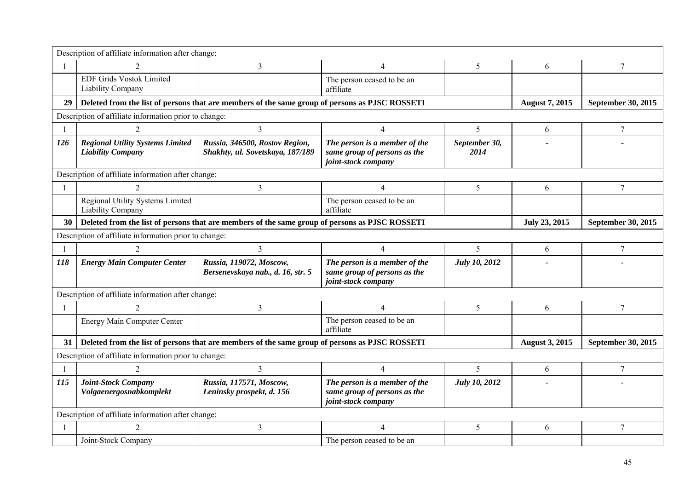|                | Description of affiliate information after change:                                             |                                                                                                |                                                                                      |                       |                       |                    |  |
|----------------|------------------------------------------------------------------------------------------------|------------------------------------------------------------------------------------------------|--------------------------------------------------------------------------------------|-----------------------|-----------------------|--------------------|--|
| $\overline{1}$ |                                                                                                | $\overline{3}$                                                                                 | $\overline{4}$                                                                       | 5                     | 6                     | 7                  |  |
|                | <b>EDF Grids Vostok Limited</b><br>Liability Company                                           |                                                                                                | The person ceased to be an<br>affiliate                                              |                       |                       |                    |  |
| 29             |                                                                                                | Deleted from the list of persons that are members of the same group of persons as PJSC ROSSETI |                                                                                      |                       | <b>August 7, 2015</b> | September 30, 2015 |  |
|                | Description of affiliate information prior to change:                                          |                                                                                                |                                                                                      |                       |                       |                    |  |
| $\overline{1}$ | $\overline{2}$                                                                                 | $\overline{3}$                                                                                 | $\overline{4}$                                                                       | 5                     | 6                     | $7\phantom{.0}$    |  |
| 126            | <b>Regional Utility Systems Limited</b><br><b>Liability Company</b>                            | Russia, 346500, Rostov Region,<br>Shakhty, ul. Sovetskaya, 187/189                             | The person is a member of the<br>same group of persons as the<br>joint-stock company | September 30,<br>2014 |                       |                    |  |
|                | Description of affiliate information after change:                                             |                                                                                                |                                                                                      |                       |                       |                    |  |
| $\mathbf{1}$   | $\mathfrak{D}$                                                                                 | 3                                                                                              | $\overline{4}$                                                                       | 5                     | 6                     | 7                  |  |
|                | Regional Utility Systems Limited<br>Liability Company                                          |                                                                                                | The person ceased to be an<br>affiliate                                              |                       |                       |                    |  |
| 30             | Deleted from the list of persons that are members of the same group of persons as PJSC ROSSETI |                                                                                                | July 23, 2015                                                                        | September 30, 2015    |                       |                    |  |
|                | Description of affiliate information prior to change:                                          |                                                                                                |                                                                                      |                       |                       |                    |  |
| -1             |                                                                                                | $\overline{3}$                                                                                 | $\overline{4}$                                                                       | 5                     | 6                     | 7                  |  |
| 118            | <b>Energy Main Computer Center</b>                                                             | Russia, 119072, Moscow,<br>Bersenevskaya nab., d. 16, str. 5                                   | The person is a member of the<br>same group of persons as the<br>joint-stock company | <b>July 10, 2012</b>  |                       |                    |  |
|                | Description of affiliate information after change:                                             |                                                                                                |                                                                                      |                       |                       |                    |  |
| $\overline{1}$ |                                                                                                | 3                                                                                              | $\overline{4}$                                                                       | 5                     | 6                     | 7                  |  |
|                | Energy Main Computer Center                                                                    |                                                                                                | The person ceased to be an<br>affiliate                                              |                       |                       |                    |  |
| 31             |                                                                                                | Deleted from the list of persons that are members of the same group of persons as PJSC ROSSETI |                                                                                      |                       | <b>August 3, 2015</b> | September 30, 2015 |  |
|                | Description of affiliate information prior to change:                                          |                                                                                                |                                                                                      |                       |                       |                    |  |
| $\mathbf{1}$   | $\mathfrak{D}$                                                                                 | $\overline{3}$                                                                                 | $\overline{4}$                                                                       | 5                     | 6                     | 7                  |  |
| 115            | Joint-Stock Company<br>Volgaenergosnabkomplekt                                                 | Russia, 117571, Moscow,<br>Leninsky prospekt, d. 156                                           | The person is a member of the<br>same group of persons as the<br>joint-stock company | <b>July 10, 2012</b>  |                       |                    |  |
|                | Description of affiliate information after change:                                             |                                                                                                |                                                                                      |                       |                       |                    |  |
|                | $\mathfrak{D}$                                                                                 | $\mathfrak{Z}$                                                                                 | $\overline{\mathcal{A}}$                                                             | 5                     | 6                     | 7                  |  |
|                | Joint-Stock Company                                                                            |                                                                                                | The person ceased to be an                                                           |                       |                       |                    |  |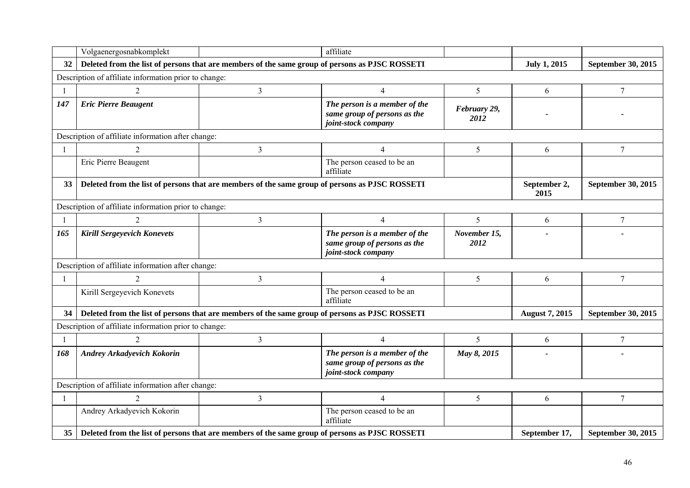|                | Volgaenergosnabkomplekt                                                                        |   | affiliate                                                                            |                      |                       |                    |
|----------------|------------------------------------------------------------------------------------------------|---|--------------------------------------------------------------------------------------|----------------------|-----------------------|--------------------|
| 32             | Deleted from the list of persons that are members of the same group of persons as PJSC ROSSETI |   |                                                                                      |                      | <b>July 1, 2015</b>   | September 30, 2015 |
|                | Description of affiliate information prior to change:                                          |   |                                                                                      |                      |                       |                    |
| $\overline{1}$ | $\mathcal{D}_{\mathcal{L}}$                                                                    | 3 | $\overline{4}$                                                                       | 5                    | 6                     | $\tau$             |
| 147            | <b>Eric Pierre Beaugent</b>                                                                    |   | The person is a member of the<br>same group of persons as the<br>joint-stock company | February 29,<br>2012 |                       |                    |
|                | Description of affiliate information after change:                                             |   |                                                                                      |                      |                       |                    |
| -1             | $\overline{2}$                                                                                 | 3 | $\overline{4}$                                                                       | 5                    | 6                     | $\tau$             |
|                | Eric Pierre Beaugent                                                                           |   | The person ceased to be an<br>affiliate                                              |                      |                       |                    |
| 33             | Deleted from the list of persons that are members of the same group of persons as PJSC ROSSETI |   |                                                                                      |                      | September 2,<br>2015  | September 30, 2015 |
|                | Description of affiliate information prior to change:                                          |   |                                                                                      |                      |                       |                    |
| $\mathbf{1}$   | $\overline{c}$                                                                                 | 3 | $\overline{4}$                                                                       | 5                    | 6                     | $\tau$             |
| 165            | <b>Kirill Sergeyevich Konevets</b>                                                             |   | The person is a member of the<br>same group of persons as the<br>joint-stock company | November 15,<br>2012 |                       |                    |
|                | Description of affiliate information after change:                                             |   |                                                                                      |                      |                       |                    |
| $\mathbf{1}$   | $\mathfrak{D}$                                                                                 | 3 | $\overline{4}$                                                                       | 5                    | 6                     | $\tau$             |
|                | Kirill Sergeyevich Konevets                                                                    |   | The person ceased to be an<br>affiliate                                              |                      |                       |                    |
| 34             | Deleted from the list of persons that are members of the same group of persons as PJSC ROSSETI |   |                                                                                      |                      | <b>August 7, 2015</b> | September 30, 2015 |
|                | Description of affiliate information prior to change:                                          |   |                                                                                      |                      |                       |                    |
| -1             | $\mathfrak{D}$                                                                                 | 3 | $\overline{4}$                                                                       | 5                    | 6                     | $\tau$             |
| 168            | <b>Andrey Arkadyevich Kokorin</b>                                                              |   | The person is a member of the<br>same group of persons as the<br>joint-stock company | May 8, 2015          |                       |                    |
|                | Description of affiliate information after change:                                             |   |                                                                                      |                      |                       |                    |
| $\mathbf{1}$   |                                                                                                | 3 | $\overline{4}$                                                                       | 5                    | 6                     | $\tau$             |
|                | Andrey Arkadyevich Kokorin                                                                     |   | The person ceased to be an<br>affiliate                                              |                      |                       |                    |
| 35             | Deleted from the list of persons that are members of the same group of persons as PJSC ROSSETI |   |                                                                                      |                      | September 17,         | September 30, 2015 |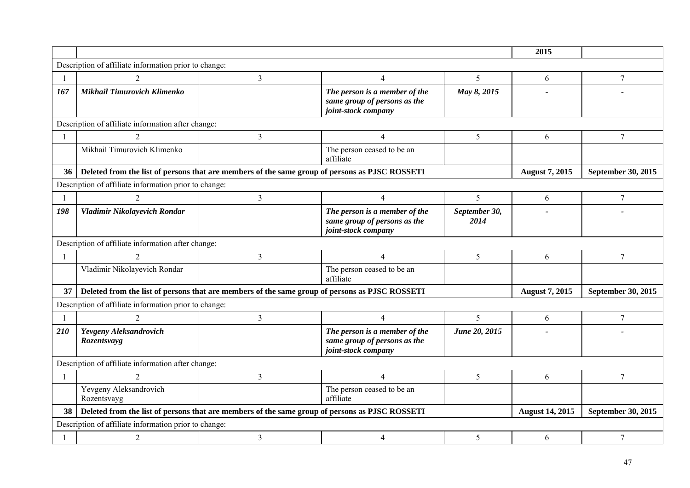|     |                                                       |                                                                                                |                                                                                      |                       | 2015                   |                           |
|-----|-------------------------------------------------------|------------------------------------------------------------------------------------------------|--------------------------------------------------------------------------------------|-----------------------|------------------------|---------------------------|
|     | Description of affiliate information prior to change: |                                                                                                |                                                                                      |                       |                        |                           |
|     | $\overline{2}$                                        | 3                                                                                              | $\overline{4}$                                                                       | 5                     | 6                      | $\tau$                    |
| 167 | <b>Mikhail Timurovich Klimenko</b>                    |                                                                                                | The person is a member of the<br>same group of persons as the<br>joint-stock company | May 8, 2015           |                        |                           |
|     | Description of affiliate information after change:    |                                                                                                |                                                                                      |                       |                        |                           |
|     | $\mathfrak{D}$                                        | 3                                                                                              | $\overline{\mathcal{A}}$                                                             | 5                     | 6                      | $\tau$                    |
|     | Mikhail Timurovich Klimenko                           |                                                                                                | The person ceased to be an<br>affiliate                                              |                       |                        |                           |
| 36  |                                                       | Deleted from the list of persons that are members of the same group of persons as PJSC ROSSETI |                                                                                      |                       | <b>August 7, 2015</b>  | September 30, 2015        |
|     | Description of affiliate information prior to change: |                                                                                                |                                                                                      |                       |                        |                           |
|     | $\mathcal{D}_{\mathcal{L}}$                           | $\overline{3}$                                                                                 | $\overline{4}$                                                                       | 5                     | 6                      | $\tau$                    |
| 198 | Vladimir Nikolayevich Rondar                          |                                                                                                | The person is a member of the<br>same group of persons as the<br>joint-stock company | September 30,<br>2014 |                        |                           |
|     | Description of affiliate information after change:    |                                                                                                |                                                                                      |                       |                        |                           |
|     | $\overline{2}$                                        | $\mathfrak{Z}$                                                                                 | $\overline{4}$                                                                       | 5                     | 6                      | 7                         |
|     | Vladimir Nikolayevich Rondar                          |                                                                                                | The person ceased to be an<br>affiliate                                              |                       |                        |                           |
| 37  |                                                       | Deleted from the list of persons that are members of the same group of persons as PJSC ROSSETI |                                                                                      |                       | <b>August 7, 2015</b>  | <b>September 30, 2015</b> |
|     | Description of affiliate information prior to change: |                                                                                                |                                                                                      |                       |                        |                           |
|     |                                                       | $\overline{3}$                                                                                 | $\overline{4}$                                                                       | 5                     | 6                      | 7                         |
| 210 | Yevgeny Aleksandrovich<br>Rozentsvayg                 |                                                                                                | The person is a member of the<br>same group of persons as the<br>joint-stock company | June 20, 2015         |                        |                           |
|     | Description of affiliate information after change:    |                                                                                                |                                                                                      |                       |                        |                           |
| -1  | 2                                                     | 3                                                                                              | $\overline{4}$                                                                       | 5                     | 6                      | 7                         |
|     | Yevgeny Aleksandrovich<br>Rozentsvayg                 |                                                                                                | The person ceased to be an<br>affiliate                                              |                       |                        |                           |
|     |                                                       | Deleted from the list of persons that are members of the same group of persons as PJSC ROSSETI |                                                                                      |                       | <b>August 14, 2015</b> | September 30, 2015        |
|     | Description of affiliate information prior to change: |                                                                                                |                                                                                      |                       |                        |                           |
|     | $\overline{2}$                                        | $\mathfrak{Z}$                                                                                 | $\overline{4}$                                                                       | 5                     | 6                      | 7                         |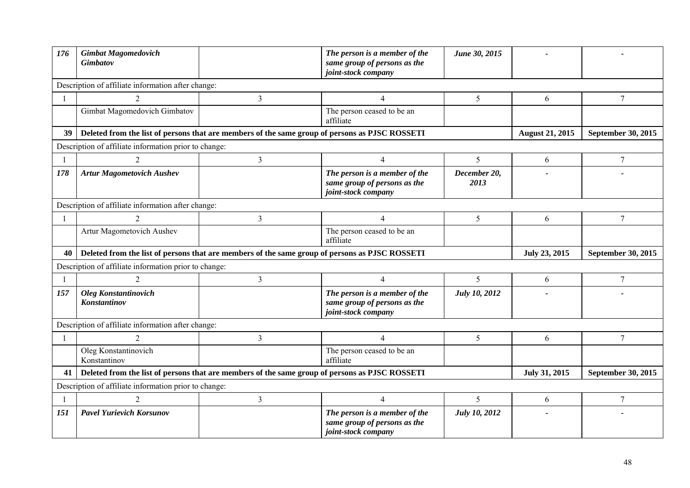| 176          | <b>Gimbat Magomedovich</b><br><b>Gimbatov</b>                                                  |                | The person is a member of the<br>same group of persons as the<br>joint-stock company | June 30, 2015        |                        |                    |
|--------------|------------------------------------------------------------------------------------------------|----------------|--------------------------------------------------------------------------------------|----------------------|------------------------|--------------------|
|              | Description of affiliate information after change:                                             |                |                                                                                      |                      |                        |                    |
| $\mathbf{1}$ | $\mathcal{D}_{\mathcal{L}}$                                                                    | 3              | 4                                                                                    | 5                    | 6                      | $\overline{7}$     |
|              | Gimbat Magomedovich Gimbatov                                                                   |                | The person ceased to be an<br>affiliate                                              |                      |                        |                    |
| 39           | Deleted from the list of persons that are members of the same group of persons as PJSC ROSSETI |                |                                                                                      |                      | <b>August 21, 2015</b> | September 30, 2015 |
|              | Description of affiliate information prior to change:                                          |                |                                                                                      |                      |                        |                    |
|              | $\mathfrak{D}$                                                                                 | 3              | $\overline{4}$                                                                       | 5                    | 6                      | $\overline{7}$     |
| 178          | <b>Artur Magometovich Aushev</b>                                                               |                | The person is a member of the<br>same group of persons as the<br>joint-stock company | December 20,<br>2013 |                        |                    |
|              | Description of affiliate information after change:                                             |                |                                                                                      |                      |                        |                    |
|              |                                                                                                | 3              | $\overline{4}$                                                                       | 5                    | 6                      | 7                  |
|              | Artur Magometovich Aushev                                                                      |                | The person ceased to be an<br>affiliate                                              |                      |                        |                    |
| 40           | Deleted from the list of persons that are members of the same group of persons as PJSC ROSSETI |                |                                                                                      |                      | July 23, 2015          | September 30, 2015 |
|              | Description of affiliate information prior to change:                                          |                |                                                                                      |                      |                        |                    |
|              |                                                                                                | 3              | $\overline{4}$                                                                       | 5                    | 6                      | $\tau$             |
| 157          | <b>Oleg Konstantinovich</b><br>Konstantinov                                                    |                | The person is a member of the<br>same group of persons as the<br>joint-stock company | <b>July 10, 2012</b> |                        |                    |
|              | Description of affiliate information after change:                                             |                |                                                                                      |                      |                        |                    |
|              | $\overline{2}$                                                                                 | 3              | $\overline{4}$                                                                       | 5                    | 6                      | $\overline{7}$     |
|              | Oleg Konstantinovich<br>Konstantinov                                                           |                | The person ceased to be an<br>affiliate                                              |                      |                        |                    |
| 41           | Deleted from the list of persons that are members of the same group of persons as PJSC ROSSETI |                |                                                                                      |                      | July 31, 2015          | September 30, 2015 |
|              | Description of affiliate information prior to change:                                          |                |                                                                                      |                      |                        |                    |
|              | $\overline{2}$                                                                                 | $\mathfrak{Z}$ | $\overline{4}$                                                                       | 5                    | 6                      | 7                  |
| 151          | <b>Pavel Yurievich Korsunov</b>                                                                |                | The person is a member of the<br>same group of persons as the<br>joint-stock company | <b>July 10, 2012</b> |                        |                    |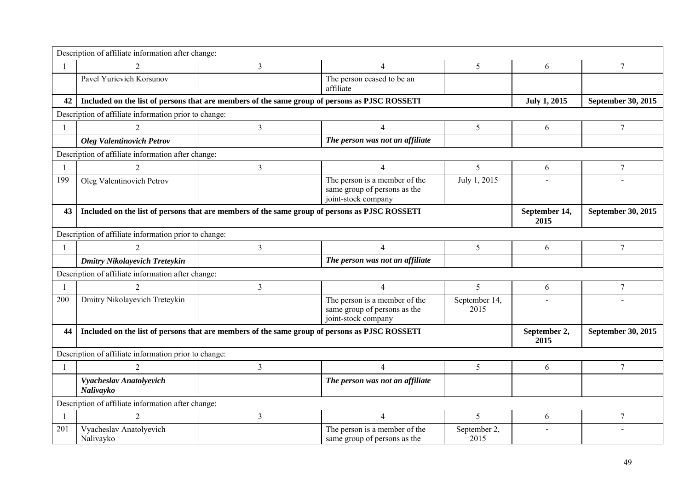|              | Description of affiliate information after change:    |                                                                                               |                                                                                      |                       |                       |                           |
|--------------|-------------------------------------------------------|-----------------------------------------------------------------------------------------------|--------------------------------------------------------------------------------------|-----------------------|-----------------------|---------------------------|
| $\mathbf{1}$ | $\overline{2}$                                        | $\overline{3}$                                                                                | $\overline{4}$                                                                       | 5                     | 6                     | 7                         |
|              | Pavel Yurievich Korsunov                              |                                                                                               | The person ceased to be an<br>affiliate                                              |                       |                       |                           |
| 42           |                                                       | Included on the list of persons that are members of the same group of persons as PJSC ROSSETI |                                                                                      |                       | <b>July 1, 2015</b>   | <b>September 30, 2015</b> |
|              | Description of affiliate information prior to change: |                                                                                               |                                                                                      |                       |                       |                           |
|              | $\mathcal{D}_{\mathcal{L}}$                           | 3                                                                                             | $\overline{4}$                                                                       | 5                     | 6                     | 7                         |
|              | <b>Oleg Valentinovich Petrov</b>                      |                                                                                               | The person was not an affiliate                                                      |                       |                       |                           |
|              | Description of affiliate information after change:    |                                                                                               |                                                                                      |                       |                       |                           |
| $\mathbf{1}$ |                                                       | 3                                                                                             | $\overline{4}$                                                                       | 5                     | 6                     | 7                         |
| 199          | Oleg Valentinovich Petrov                             |                                                                                               | The person is a member of the<br>same group of persons as the<br>joint-stock company | July 1, 2015          |                       |                           |
| 43           |                                                       | Included on the list of persons that are members of the same group of persons as PJSC ROSSETI |                                                                                      |                       | September 14,<br>2015 | September 30, 2015        |
|              | Description of affiliate information prior to change: |                                                                                               |                                                                                      |                       |                       |                           |
| $\mathbf{1}$ | 2                                                     | $\mathfrak{Z}$                                                                                | $\overline{4}$                                                                       | 5                     | 6                     | 7                         |
|              | <b>Dmitry Nikolayevich Treteykin</b>                  |                                                                                               | The person was not an affiliate                                                      |                       |                       |                           |
|              | Description of affiliate information after change:    |                                                                                               |                                                                                      |                       |                       |                           |
|              | $\overline{2}$                                        | 3                                                                                             | $\overline{4}$                                                                       | 5                     | 6                     | 7                         |
| 200          | Dmitry Nikolayevich Treteykin                         |                                                                                               | The person is a member of the<br>same group of persons as the<br>joint-stock company | September 14,<br>2015 |                       |                           |
| 44           |                                                       | Included on the list of persons that are members of the same group of persons as PJSC ROSSETI |                                                                                      |                       | September 2,<br>2015  | <b>September 30, 2015</b> |
|              | Description of affiliate information prior to change: |                                                                                               |                                                                                      |                       |                       |                           |
| 1            | 2                                                     | 3                                                                                             | $\overline{4}$                                                                       | 5                     | 6                     | 7                         |
|              | Vyacheslav Anatolyevich<br>Nalivayko                  |                                                                                               | The person was not an affiliate                                                      |                       |                       |                           |
|              | Description of affiliate information after change:    |                                                                                               |                                                                                      |                       |                       |                           |
|              | 2                                                     | $\mathfrak{Z}$                                                                                | $\overline{4}$                                                                       | 5                     | 6                     | 7                         |
| 201          | Vyacheslav Anatolyevich<br>Nalivayko                  |                                                                                               | The person is a member of the<br>same group of persons as the                        | September 2,<br>2015  |                       |                           |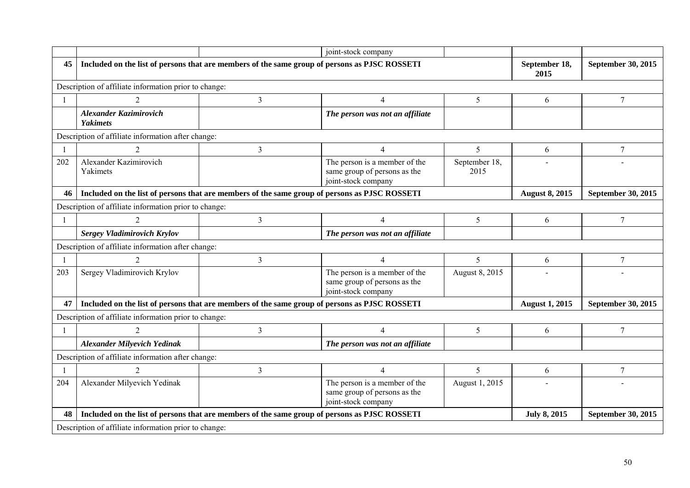|                |                                                                                               |                | joint-stock company                                                                  |                       |                       |                           |
|----------------|-----------------------------------------------------------------------------------------------|----------------|--------------------------------------------------------------------------------------|-----------------------|-----------------------|---------------------------|
| 45             | Included on the list of persons that are members of the same group of persons as PJSC ROSSETI |                |                                                                                      |                       | September 18,<br>2015 | September 30, 2015        |
|                | Description of affiliate information prior to change:                                         |                |                                                                                      |                       |                       |                           |
| $\overline{1}$ | $\mathfrak{D}$                                                                                | $\overline{3}$ | $\overline{4}$                                                                       | 5                     | 6                     | $\tau$                    |
|                | <b>Alexander Kazimirovich</b><br><b>Yakimets</b>                                              |                | The person was not an affiliate                                                      |                       |                       |                           |
|                | Description of affiliate information after change:                                            |                |                                                                                      |                       |                       |                           |
| $\overline{1}$ | 2                                                                                             | $\mathfrak{Z}$ | $\overline{4}$                                                                       | 5                     | 6                     | 7                         |
| 202            | Alexander Kazimirovich<br>Yakimets                                                            |                | The person is a member of the<br>same group of persons as the<br>joint-stock company | September 18,<br>2015 |                       |                           |
| 46             | Included on the list of persons that are members of the same group of persons as PJSC ROSSETI |                |                                                                                      |                       | <b>August 8, 2015</b> | <b>September 30, 2015</b> |
|                | Description of affiliate information prior to change:                                         |                |                                                                                      |                       |                       |                           |
| $\overline{1}$ | $\overline{2}$                                                                                | $\overline{3}$ | $\overline{4}$                                                                       | 5                     | 6                     | $\tau$                    |
|                | Sergey Vladimirovich Krylov                                                                   |                | The person was not an affiliate                                                      |                       |                       |                           |
|                | Description of affiliate information after change:                                            |                |                                                                                      |                       |                       |                           |
| $\mathbf{1}$   | $\overline{2}$                                                                                | $\overline{3}$ | $\overline{4}$                                                                       | 5                     | 6                     | $\tau$                    |
| 203            | Sergey Vladimirovich Krylov                                                                   |                | The person is a member of the<br>same group of persons as the<br>joint-stock company | August 8, 2015        |                       |                           |
| 47             | Included on the list of persons that are members of the same group of persons as PJSC ROSSETI |                |                                                                                      |                       | <b>August 1, 2015</b> | September 30, 2015        |
|                | Description of affiliate information prior to change:                                         |                |                                                                                      |                       |                       |                           |
| -1             |                                                                                               | $\overline{3}$ | $\overline{4}$                                                                       | 5                     | 6                     | $7\phantom{.0}$           |
|                | <b>Alexander Milyevich Yedinak</b>                                                            |                | The person was not an affiliate                                                      |                       |                       |                           |
|                | Description of affiliate information after change:                                            |                |                                                                                      |                       |                       |                           |
| $\overline{1}$ |                                                                                               | 3              | $\overline{4}$                                                                       | 5                     | 6                     | $7\phantom{.0}$           |
| 204            | Alexander Milyevich Yedinak                                                                   |                | The person is a member of the<br>same group of persons as the<br>joint-stock company | August 1, 2015        |                       |                           |
| 48             | Included on the list of persons that are members of the same group of persons as PJSC ROSSETI |                |                                                                                      |                       | <b>July 8, 2015</b>   | September 30, 2015        |
|                | Description of affiliate information prior to change:                                         |                |                                                                                      |                       |                       |                           |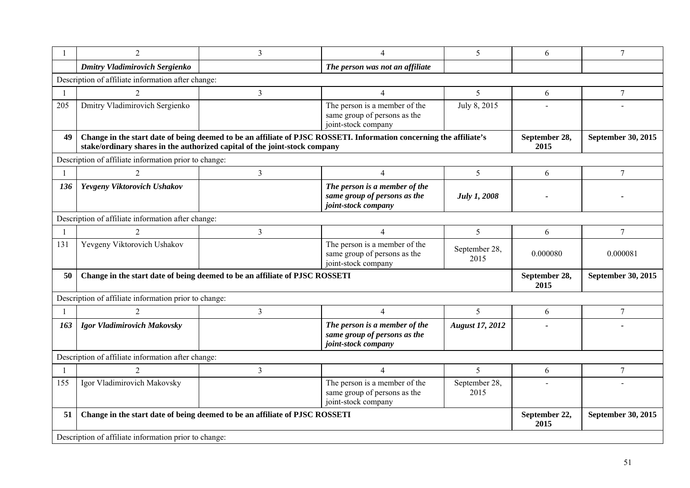|     | $\overline{c}$                                                              | 3              | $\overline{4}$                                                                                                      | 5                      | 6                     | $\tau$             |
|-----|-----------------------------------------------------------------------------|----------------|---------------------------------------------------------------------------------------------------------------------|------------------------|-----------------------|--------------------|
|     | <b>Dmitry Vladimirovich Sergienko</b>                                       |                | The person was not an affiliate                                                                                     |                        |                       |                    |
|     | Description of affiliate information after change:                          |                |                                                                                                                     |                        |                       |                    |
|     | $\overline{2}$                                                              | 3              | $\overline{4}$                                                                                                      | 5                      | 6                     | $7\phantom{.0}$    |
| 205 | Dmitry Vladimirovich Sergienko                                              |                | The person is a member of the<br>same group of persons as the<br>joint-stock company                                | July 8, 2015           |                       |                    |
| 49  | stake/ordinary shares in the authorized capital of the joint-stock company  |                | Change in the start date of being deemed to be an affiliate of PJSC ROSSETI. Information concerning the affiliate's |                        | September 28,<br>2015 | September 30, 2015 |
|     | Description of affiliate information prior to change:                       |                |                                                                                                                     |                        |                       |                    |
|     | $\overline{c}$                                                              | 3              | $\overline{4}$                                                                                                      | 5                      | 6                     |                    |
| 136 | Yevgeny Viktorovich Ushakov                                                 |                | The person is a member of the<br>same group of persons as the<br>joint-stock company                                | <b>July 1, 2008</b>    |                       |                    |
|     | Description of affiliate information after change:                          |                |                                                                                                                     |                        |                       |                    |
|     |                                                                             | 3              | $\overline{4}$                                                                                                      | 5                      | 6                     | 7                  |
| 131 | Yevgeny Viktorovich Ushakov                                                 |                | The person is a member of the<br>same group of persons as the<br>joint-stock company                                | September 28,<br>2015  | 0.000080              | 0.000081           |
| 50  | Change in the start date of being deemed to be an affiliate of PJSC ROSSETI |                |                                                                                                                     |                        |                       | September 30, 2015 |
|     | Description of affiliate information prior to change:                       |                |                                                                                                                     |                        |                       |                    |
|     | $\overline{2}$                                                              | $\mathfrak{Z}$ | $\overline{4}$                                                                                                      | 5                      | 6                     | 7                  |
| 163 | Igor Vladimirovich Makovsky                                                 |                | The person is a member of the<br>same group of persons as the<br>joint-stock company                                | <b>August 17, 2012</b> |                       |                    |
|     | Description of affiliate information after change:                          |                |                                                                                                                     |                        |                       |                    |
|     |                                                                             | 3              | $\overline{4}$                                                                                                      | 5                      | 6                     | $\tau$             |
| 155 | Igor Vladimirovich Makovsky                                                 |                | The person is a member of the<br>same group of persons as the<br>joint-stock company                                | September 28,<br>2015  |                       |                    |
| 51  | Change in the start date of being deemed to be an affiliate of PJSC ROSSETI |                |                                                                                                                     |                        | September 22,<br>2015 | September 30, 2015 |
|     | Description of affiliate information prior to change:                       |                |                                                                                                                     |                        |                       |                    |